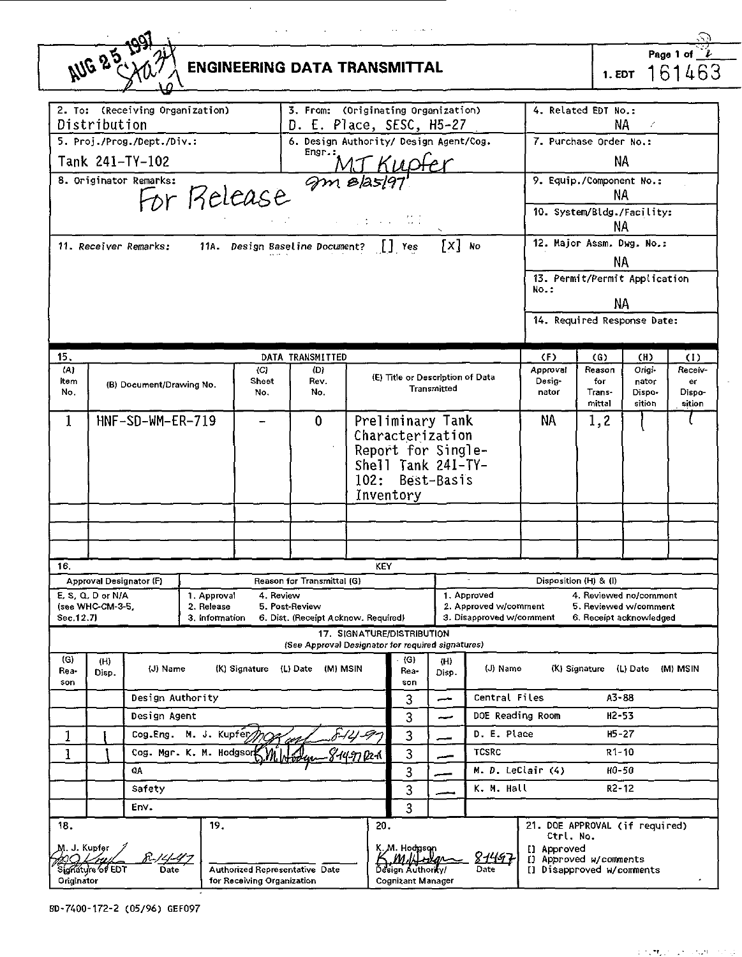|                                                                                                                    | AUG 25                                             |                            |                              |                                                                     | <b>ENGINEERING DATA TRANSMITTAL</b>                   |                                                         |                                          |        |                                                   |                                                 | 1. EDT                            |                        | Page 1 of $\frac{1}{\ell}$<br>161463 |
|--------------------------------------------------------------------------------------------------------------------|----------------------------------------------------|----------------------------|------------------------------|---------------------------------------------------------------------|-------------------------------------------------------|---------------------------------------------------------|------------------------------------------|--------|---------------------------------------------------|-------------------------------------------------|-----------------------------------|------------------------|--------------------------------------|
| 2. To: (Receiving Organization)<br>3. From: (Originating Organization)<br>Distribution<br>D. E. Place, SESC, H5-27 |                                                    |                            |                              |                                                                     |                                                       |                                                         | 4. Related EDT No.:<br>ΝA                |        |                                                   |                                                 |                                   |                        |                                      |
|                                                                                                                    |                                                    | 5. Proj./Prog./Dept./Div.: |                              |                                                                     | 6. Design Authority/ Design Agent/Cog.                |                                                         |                                          |        |                                                   |                                                 | 7. Purchase Order No.:            |                        |                                      |
|                                                                                                                    |                                                    | Tank 241-TY-102            |                              |                                                                     | Engr.:                                                |                                                         |                                          |        |                                                   |                                                 | ΝA                                |                        |                                      |
|                                                                                                                    |                                                    |                            |                              |                                                                     |                                                       |                                                         |                                          |        |                                                   |                                                 |                                   |                        |                                      |
|                                                                                                                    |                                                    | 8. Originator Remarks:     |                              |                                                                     | For Release am elaster                                |                                                         |                                          |        |                                                   |                                                 | 9. Equip./Component No.:<br>NA    |                        |                                      |
|                                                                                                                    |                                                    |                            |                              |                                                                     |                                                       |                                                         |                                          |        |                                                   |                                                 | 10. System/Bldg./Facility:<br>NA. |                        |                                      |
|                                                                                                                    |                                                    | 11. Receiver Remarks:      |                              |                                                                     | 11A. Design Baseline Document?                        |                                                         | $\begin{bmatrix} \end{bmatrix}$ Yes      | TXI No |                                                   |                                                 | 12. Major Assm. Dwg. No.:<br>NΑ   |                        |                                      |
|                                                                                                                    |                                                    |                            |                              |                                                                     |                                                       |                                                         |                                          |        |                                                   | $No.$ :                                         | 13. Permit/Permit Application     |                        |                                      |
|                                                                                                                    |                                                    |                            |                              |                                                                     |                                                       |                                                         |                                          |        |                                                   |                                                 | ΝA<br>14. Required Response Date: |                        |                                      |
|                                                                                                                    |                                                    |                            |                              |                                                                     |                                                       |                                                         |                                          |        |                                                   |                                                 |                                   |                        |                                      |
| 15.                                                                                                                |                                                    |                            |                              |                                                                     | DATA TRANSMITTED                                      |                                                         |                                          |        |                                                   | (F)                                             | (G)                               | (H)                    | (1)                                  |
| (A)                                                                                                                |                                                    |                            |                              | $\langle C \rangle$                                                 | (D)                                                   |                                                         |                                          |        |                                                   | Approval                                        | Reason                            | Origi-                 | Receiv-                              |
| Item<br>No.                                                                                                        |                                                    | (B) Document/Drawing No.   |                              | Sheet<br>No.                                                        | No.                                                   | (E) Title or Description of Data<br>Rev.<br>Transmitted |                                          |        | Desig-<br>nator                                   | for<br>Trans-<br>mittal                         | nator<br>Dispo-<br>sition         | er<br>Dispo-<br>sition |                                      |
| 1                                                                                                                  |                                                    | HNF-SD-WM-ER-719           |                              |                                                                     | 0                                                     |                                                         | Preliminary Tank                         |        |                                                   | ΝA                                              | 1,2                               |                        | ι                                    |
|                                                                                                                    |                                                    |                            |                              |                                                                     |                                                       |                                                         | Characterization                         |        |                                                   |                                                 |                                   |                        |                                      |
|                                                                                                                    |                                                    |                            |                              |                                                                     |                                                       |                                                         | Report for Single-<br>Shell Tank 241-TY- |        |                                                   |                                                 |                                   |                        |                                      |
|                                                                                                                    |                                                    |                            |                              |                                                                     |                                                       |                                                         | 102: Best-Basis                          |        |                                                   |                                                 |                                   |                        |                                      |
|                                                                                                                    |                                                    |                            |                              |                                                                     |                                                       |                                                         | Inventory                                |        |                                                   |                                                 |                                   |                        |                                      |
|                                                                                                                    |                                                    |                            |                              |                                                                     |                                                       |                                                         |                                          |        |                                                   |                                                 |                                   |                        |                                      |
|                                                                                                                    |                                                    |                            |                              |                                                                     |                                                       |                                                         |                                          |        |                                                   |                                                 |                                   |                        |                                      |
|                                                                                                                    |                                                    |                            |                              |                                                                     |                                                       |                                                         |                                          |        |                                                   |                                                 |                                   |                        |                                      |
| 16.                                                                                                                |                                                    |                            |                              |                                                                     |                                                       | KEY                                                     |                                          |        |                                                   |                                                 |                                   |                        |                                      |
|                                                                                                                    |                                                    | Approval Designator (F)    |                              |                                                                     | Reason for Transmittal (G)                            |                                                         |                                          |        |                                                   |                                                 | Disposition (H) & (I)             |                        |                                      |
|                                                                                                                    | E. S. Q. D or N/A                                  |                            | 1. Approval                  | 4. Review                                                           |                                                       |                                                         |                                          |        | 1. Approved                                       | 4. Reviewed no/comment<br>5. Reviewed w/comment |                                   |                        |                                      |
| Sec. 12.7)                                                                                                         | (see WHC-CM-3-5,                                   |                            | 2. Release<br>3. Information |                                                                     | 5. Post-Review<br>6. Dist. (Receipt Acknow. Required) |                                                         |                                          |        | 2. Approved w/comment<br>3. Disapproved w/comment |                                                 | 6. Receipt acknowledged           |                        |                                      |
|                                                                                                                    |                                                    |                            |                              |                                                                     |                                                       | 17. SIGNATURE/DISTRIBUTION                              |                                          |        |                                                   |                                                 |                                   |                        |                                      |
| (G)                                                                                                                | (H)                                                |                            |                              |                                                                     | (See Approval Designator for required signatures)     |                                                         | (G)                                      | (H)    |                                                   |                                                 |                                   |                        |                                      |
| Rea-<br>son                                                                                                        | Disp.                                              | (J) Name                   |                              |                                                                     | (K) Signature (L) Date (M) MSIN                       |                                                         | Rea-<br>son                              | Disp.  | (J) Name                                          |                                                 | (K) Signature (L) Date (M) MSIN   |                        |                                      |
|                                                                                                                    |                                                    | Design Authority           |                              |                                                                     |                                                       |                                                         | 3                                        |        | Central Files                                     |                                                 | A3-88                             |                        |                                      |
|                                                                                                                    |                                                    | Design Agent               |                              |                                                                     |                                                       |                                                         | 3                                        |        | DOE Reading Room                                  |                                                 | $H2 - 53$                         |                        |                                      |
| 1                                                                                                                  |                                                    | Cog.Eng.                   | M. J. Kupfer                 |                                                                     |                                                       |                                                         | 3                                        |        | D. E. Place                                       |                                                 | $H5 - 27$                         |                        |                                      |
| 1                                                                                                                  | 3<br><b>TCSRC</b><br>Cog. Mgr. K. M. Hodgson<br>QA |                            |                              |                                                                     |                                                       | M. D. LeClair (4)                                       | $R1 - 10$<br>HO-50                       |        |                                                   |                                                 |                                   |                        |                                      |
|                                                                                                                    |                                                    | Safety                     |                              |                                                                     |                                                       |                                                         | 3<br>3                                   |        | K. M. Hall                                        |                                                 | R <sub>2</sub> -12                |                        |                                      |
|                                                                                                                    |                                                    | Env.                       |                              |                                                                     |                                                       |                                                         | 3                                        |        |                                                   |                                                 |                                   |                        |                                      |
| 18.                                                                                                                |                                                    |                            | 19.                          |                                                                     |                                                       | 20.                                                     |                                          |        |                                                   | 21. DOE APPROVAL (if required)                  |                                   |                        |                                      |
|                                                                                                                    |                                                    |                            |                              |                                                                     |                                                       |                                                         |                                          |        |                                                   | Ctrl. No.                                       |                                   |                        |                                      |
| M. J. Kupfer                                                                                                       |                                                    |                            |                              |                                                                     |                                                       |                                                         | K. M. Hodgsq                             |        | 81497                                             | [] Approved<br>[] Approved w/comments           |                                   |                        |                                      |
| Originator                                                                                                         | Signature of EDT                                   | Ďate                       |                              | <b>Authorized Representative Date</b><br>for Receiving Organization |                                                       |                                                         | Design Authority/<br>Cognizant Manager   |        | Date                                              | [] Disapproved w/comments                       |                                   |                        |                                      |
|                                                                                                                    |                                                    |                            |                              |                                                                     |                                                       |                                                         |                                          |        |                                                   |                                                 |                                   |                        |                                      |

 $\mathcal{A}$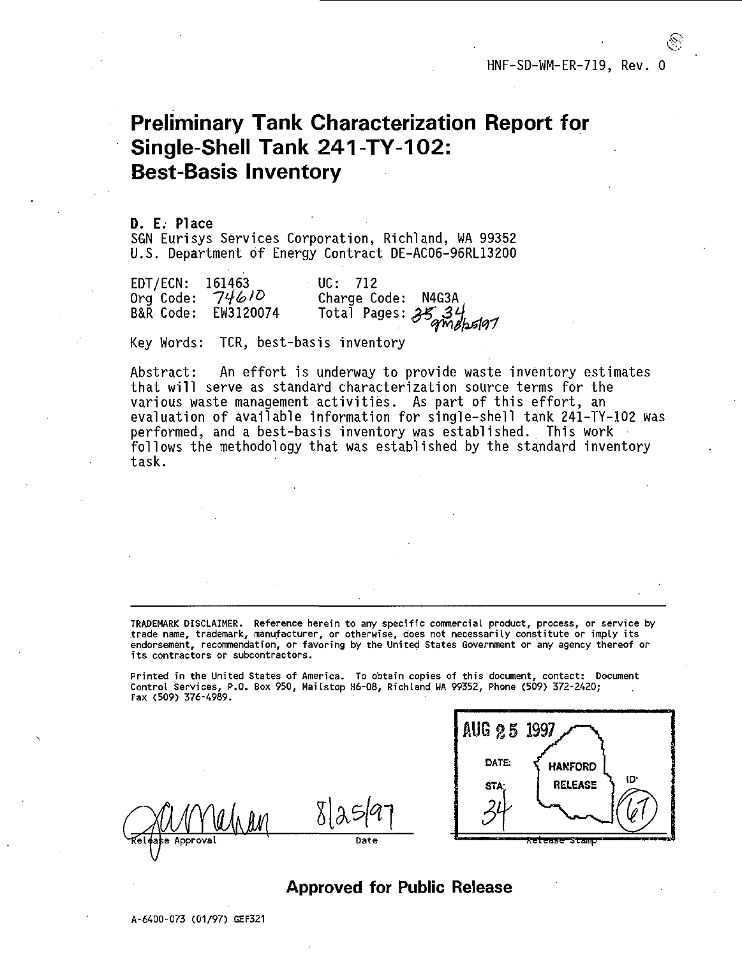# Preliminary Tank Characterization Report for Single-Shell Tank 241 -TY-102: Best-Basis Inventory

#### **D. E. Place**

SGN Eurisys Services Corporation, Richland, WA 99352 U.S. Department of Energy Contract DE-AC06-96RL13200

| EDT/ECN: 161463 |                     | · UC: 712           |
|-----------------|---------------------|---------------------|
|                 | Org Code: $74610$   | Charge Code: N4G3A  |
|                 | B&R Code: EW3120074 | Total Pages: 25, 34 |
|                 |                     |                     |

Key Words: TCR, best-basis inventory

Abstract: An effort is underway to provide waste inventory estimates that will serve as standard characterization source terms for the various waste management activities. As part of this effort, an evaluation of available information for single-shell tank 241-TY-102 was performed, and a best-basis inventory was established. This work follows the methodology that was established by the standard inventory task.

TRADEMARK DISCLAIMER. Reference herein to any specific commercial product, process, or service by trade name, trademark, manufacturer, or otherwise, does not necessarily constitute or imply its endorsement, recommendation, or favoring by the United States Government or any agency thereof or its contractors or subcontractors.

Printed in the United States of America. To obtain copies of this document, contact: Document Control Services, P.O. Box 950, Mailstop H6-08, Richland WA 99352, Phone <509) 372-2420; Fax (509) 376-4989.

Date



## Approved for Public Release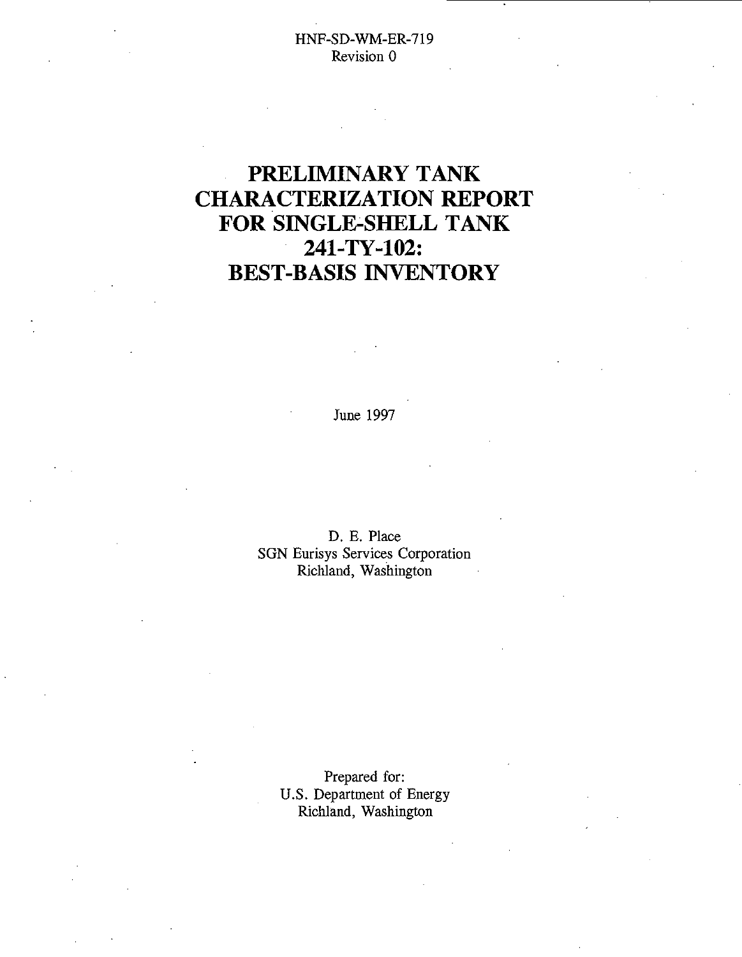# PRELIMINARY TANK CHARACTERIZATION REPORT FOR SINGLE-SHELL TANK 241-TY-102: BEST-BASIS INVENTORY

June 1997

D. E. Place SGN Eurisys Services Corporation Richland, Washington

> Prepared for: U.S. Department of Energy Richland, Washington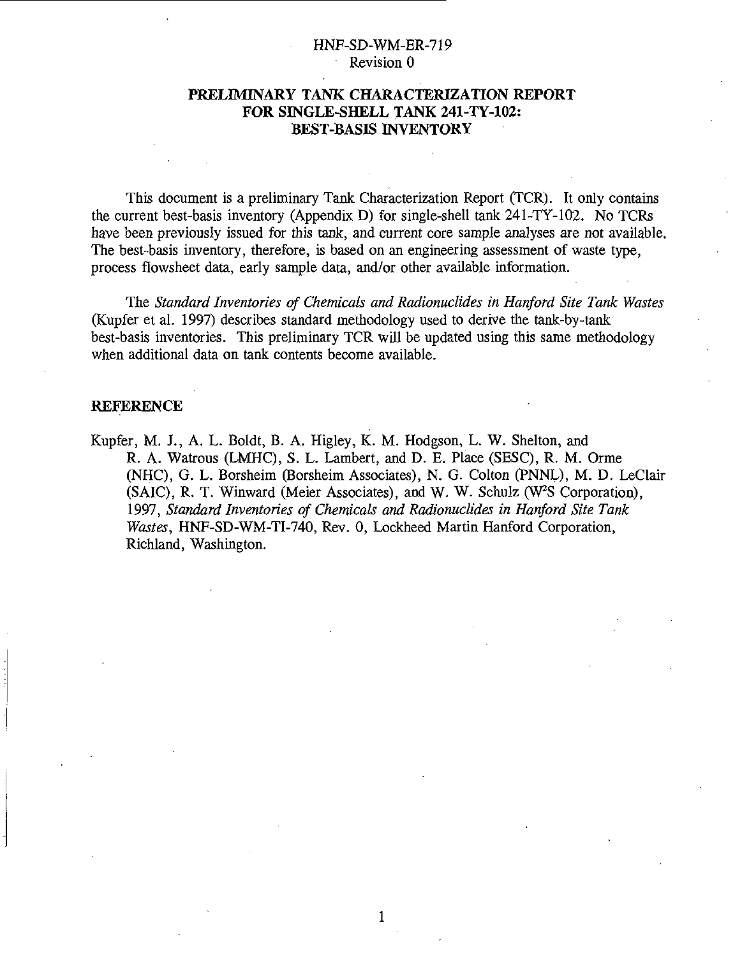## **PRELIMINARY TANK CHARACTERIZATION REPORT FOR SINGLE-SHELL TANK 241-TY-102: BEST-BASIS INVENTORY**

This document is a preliminary Tank Characterization Report (TCR). It only contains the current best-basis inventory (Appendix D) for single-shell tank 241-TY-102. No TCRs have been previously issued for this tank, and current core sample analyses are not available. The best-basis inventory, therefore, is based on an engineering assessment of waste type, process flowsheet data, early sample data, and/or other available information.

The *Standard Inventories of Chemicals and Radionuclides in Hanford Site Tank Wastes* (Kupfer et al. 1997) describes standard methodology used to derive the tank-by-tank best-basis inventories. This preliminary TCR will be updated using this same methodology when additional data on tank contents become available.

## **REFERENCE**

Kupfer, M. J., A. L. Boldt, B. A. Higley, K. M. Hodgson, L. W. Shelton, and R. A. Watrous (LMHC), S. L. Lambert, and D. E. Place (SESC), R. M. Orme (NHC), G. L. Borsheim (Borsheim Associates), N. G. Colton (PNNL), M. D. LeClair  $(SAIC)$ , R. T. Winward (Meier Associates), and W. W. Schulz (W<sup>2</sup>S Corporation), 1997, *Standard Inventories of Chemicals and Radionuclides in Hanford Site Tank Wastes,* HNF-SD-WM-TI-740, Rev. 0, Lockheed Martin Hanford Corporation, Richland, Washington.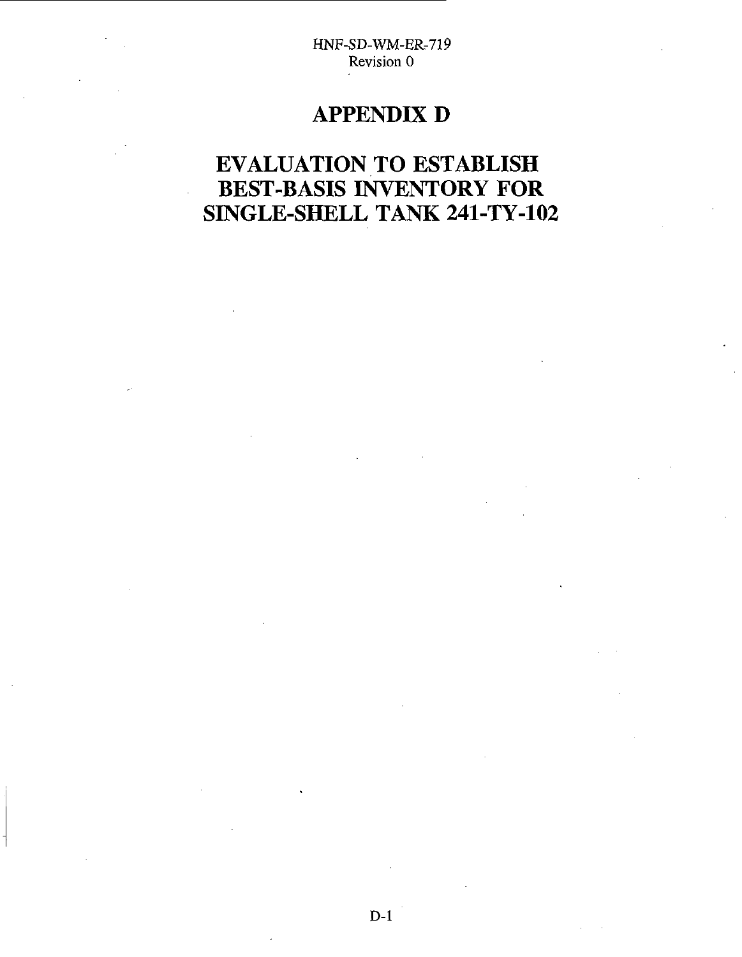# APPENDIX D

# EVALUATION TO ESTABLISH BEST-BASIS INVENTORY FOR SINGLE-SHELL TANK 241-TY-102

l,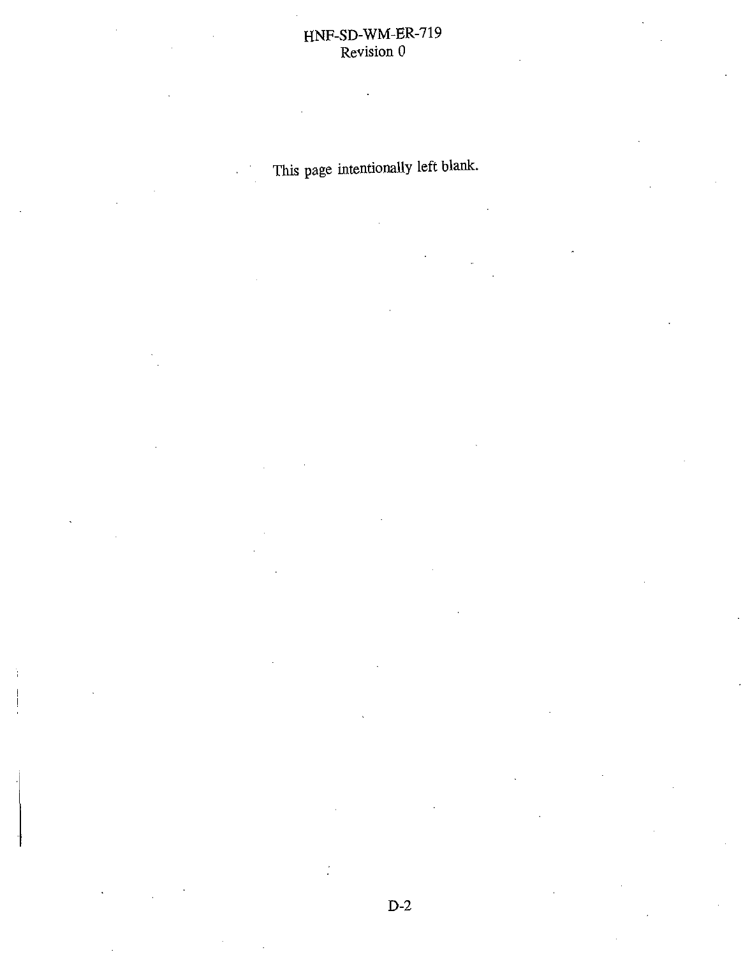This page intentionally left blank.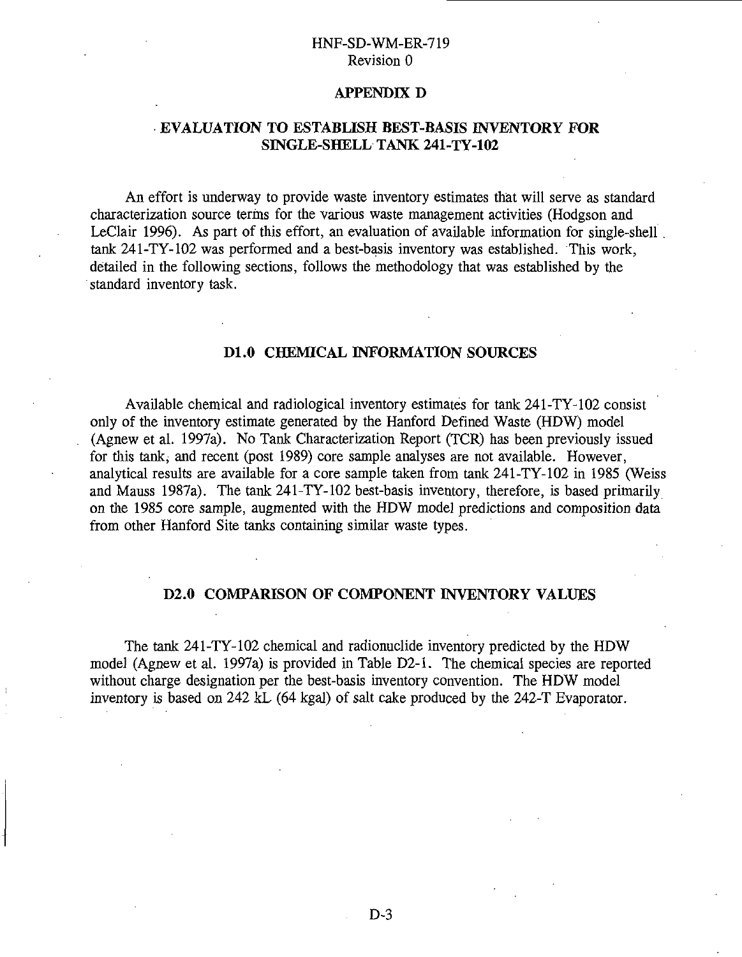## **APPENDIX D**

## **EVALUATION TO ESTABLISH BEST-BASIS INVENTORY FOR SINGLE-SHELL TANK 241-TY-102**

An effort is underway to provide waste inventory estimates that will serve as standard characterization source terms for the various waste management activities (Hodgson and LeClair 1996). As part of this effort, an evaluation of available information for single-shell tank 241-TY-102 was performed and a best-basis inventory was established. This work, detailed in the following sections, follows the methodology that was established by the standard inventory task.

## **D1.0 CHEMICAL INFORMATION SOURCES**

Available chemical and radiological inventory estimates for tank 241-TY-102 consist only of the inventory estimate generated by the Hanford Defined Waste (HDW) model (Agnew et al. 1997a). No Tank Characterization Report (TCR) has been previously issued for this tank, and recent (post 1989) core sample analyses are not available. However, analytical results are available for a core sample taken from tank 241-TY-102 in 1985 (Weiss and Mauss 1987a). The tank 241-TY-102 best-basis inventory, therefore, is based primarily on the 1985 core sample, augmented with the HDW model predictions and composition data from other Hanford Site tanks containing similar waste types.

## **D2.0 COMPARISON OF COMPONENT INVENTORY VALUES**

The tank 241-TY-102 chemical and radionuclide inventory predicted by the HDW model (Agnew et al. 1997a) is provided in Table D2-1. The chemical species are reported without charge designation per the best-basis inventory convention. The HDW model inventory is based on 242 kL (64 kgal) of salt cake produced by the 242-T Evaporator.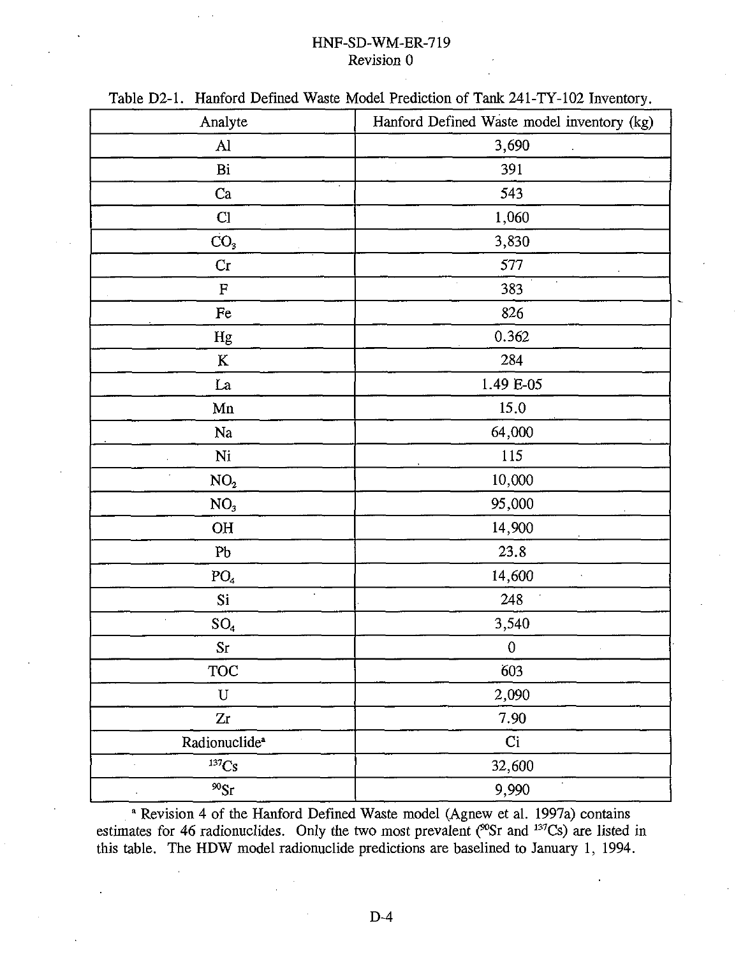| Analyte                   | Hanford Defined Waste model inventory (kg) |  |  |  |  |
|---------------------------|--------------------------------------------|--|--|--|--|
| $\mathbf{A}$              | 3,690                                      |  |  |  |  |
| Bi                        | ï<br>391                                   |  |  |  |  |
| Ca                        | 543                                        |  |  |  |  |
| C1                        | 1,060                                      |  |  |  |  |
| CO <sub>3</sub>           | 3,830                                      |  |  |  |  |
| Cr                        | 577                                        |  |  |  |  |
| $\overline{F}$            | 383                                        |  |  |  |  |
| Fe                        | 826                                        |  |  |  |  |
| Hg                        | 0.362                                      |  |  |  |  |
| $\bf K$                   | 284                                        |  |  |  |  |
| La                        | 1.49 E-05                                  |  |  |  |  |
| Mn                        | 15.0                                       |  |  |  |  |
| Na                        | 64,000                                     |  |  |  |  |
| Ni                        | 115                                        |  |  |  |  |
| NO <sub>2</sub>           | 10,000                                     |  |  |  |  |
| NO <sub>3</sub>           | 95,000                                     |  |  |  |  |
| <b>OH</b>                 | 14,900                                     |  |  |  |  |
| Pb                        | 23.8                                       |  |  |  |  |
| PO <sub>4</sub>           | 14,600                                     |  |  |  |  |
| ä,<br>Si                  | 248                                        |  |  |  |  |
| SO <sub>4</sub>           | 3,540                                      |  |  |  |  |
| $S_{\Gamma}$              | $\mathbf 0$                                |  |  |  |  |
| <b>TOC</b>                | 603                                        |  |  |  |  |
| $\mathbf U$               | 2,090                                      |  |  |  |  |
| Zr                        | 7.90                                       |  |  |  |  |
| Radionuclide <sup>a</sup> | Ci                                         |  |  |  |  |
| 137Cs                     | 32,600                                     |  |  |  |  |
| $^{90}\mathrm{Sr}$        | 9,990                                      |  |  |  |  |

|  |  | Table D2-1. Hanford Defined Waste Model Prediction of Tank 241-TY-102 Inventory. |
|--|--|----------------------------------------------------------------------------------|
|  |  |                                                                                  |

\* Revision 4 of the Hanford Defined Waste model (Agnew et al. 1997a) contains estimates for 46 radionuclides. Only the two most prevalent (<sup>60</sup>Sr and <sup>137</sup>Cs) are listed in this table. The HDW model radionuclide predictions are baselined to January 1, 1994.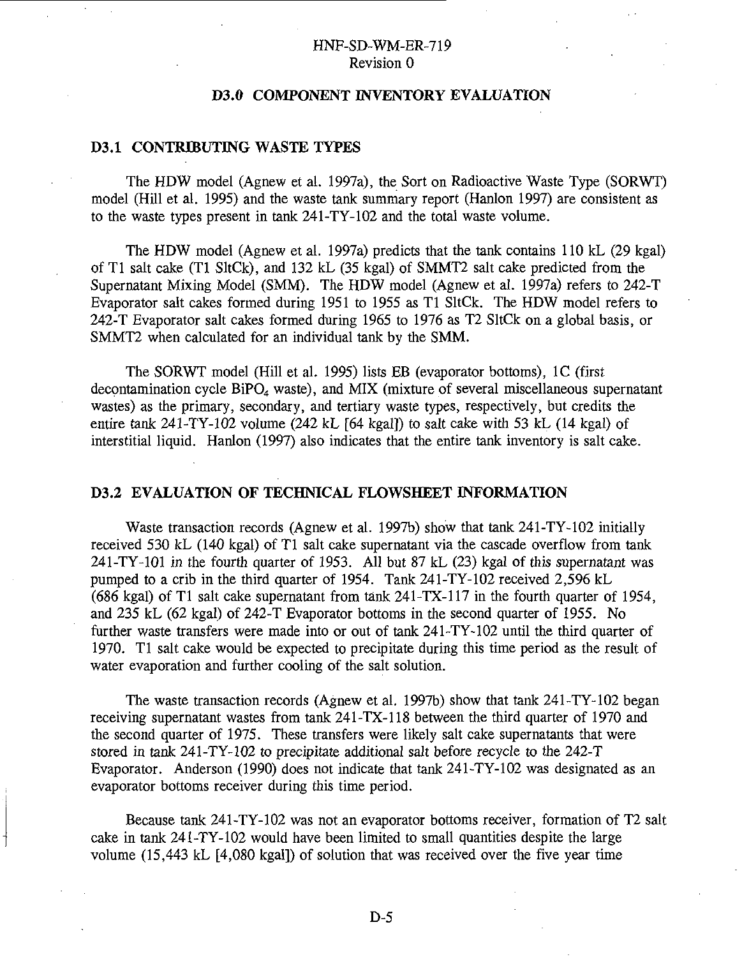## **D3.0 COMPONENT INVENTORY EVALUATION**

### **D3.1 CONTRIBUTING WASTE TYPES**

The HDW model (Agnew et al. 1997a), the Sort on Radioactive Waste Type (SORWT) model (Hill et al. 1995) and the waste tank summary report (Hanlon 1997) are consistent as to the waste types present in tank 241-TY-102 and the total waste volume.

The HDW model (Agnew et al. 1997a) predicts that the tank contains 110 kL (29 kgal) of Tl salt cake (Tl SltCk), and 132 kL (35 kgal) of SMMT2 salt cake predicted from the Supernatant Mixing Model (SMM). The HDW model (Agnew et al. 1997a) refers to 242-T Evaporator salt cakes formed during 1951 to 1955 as Tl SltCk. The HDW model refers to 242-T Evaporator salt cakes formed during 1965 to 1976 as T2 SltCk on a global basis, or SMMT2 when calculated for an individual tank by the SMM.

The SORWT model (Hill et al. 1995) lists EB (evaporator bottoms), 1C (first decontamination cycle  $\text{BiPO}_4$  waste), and MIX (mixture of several miscellaneous supernatant wastes) as the primary, secondary, and tertiary waste types, respectively, but credits the entire tank 241-TY-102 volume (242 kL [64 kgal]) to salt cake with 53 kL (14 kgal) of interstitial liquid. Hanlon (1997) also indicates that the entire tank inventory is salt cake.

#### **D3.2 EVALUATION OF TECHNICAL FLOWSHEET INFORMATION**

Waste transaction records (Agnew et al. 1997b) show that tank 241-TY-102 initially received 530 kL (140 kgal) of Tl salt cake supernatant via the cascade overflow from tank 241-TY-101 in the fourth quarter of 1953. All but 87 kL (23) kgal of this supernatant was pumped to a crib in the third quarter of 1954. Tank 241-TY-102 received 2,596 kL (686 kgal) of Tl salt cake supernatant from tank 241-TX-117 in the fourth quarter of 1954, and 235 kL (62 kgal) of 242-T Evaporator bottoms in the second quarter of 1955. No further waste transfers were made into or out of tank 241-TY-102 until the third quarter of 1970. Tl salt cake would be expected to precipitate during this time period as the result of water evaporation and further cooling of the salt solution.

The waste transaction records (Agnew et al. 1997b) show that tank 241-TY-102 began receiving supernatant wastes from tank 241-TX-118 between the third quarter of 1970 and the second quarter of 1975. These transfers were likely salt cake supernatants that were stored in tank 241-TY-102 to precipitate additional salt before recycle to the 242-T Evaporator. Anderson (1990) does not indicate that tank 241-TY-102 was designated as an evaporator bottoms receiver during this time period.

Because tank 241-TY-102 was not an evaporator bottoms receiver, formation of T2 salt cake in tank 241-TY-102 would have been limited to small quantities despite the large volume (15,443 kL [4,080 kgal]) of solution that was received over the five year time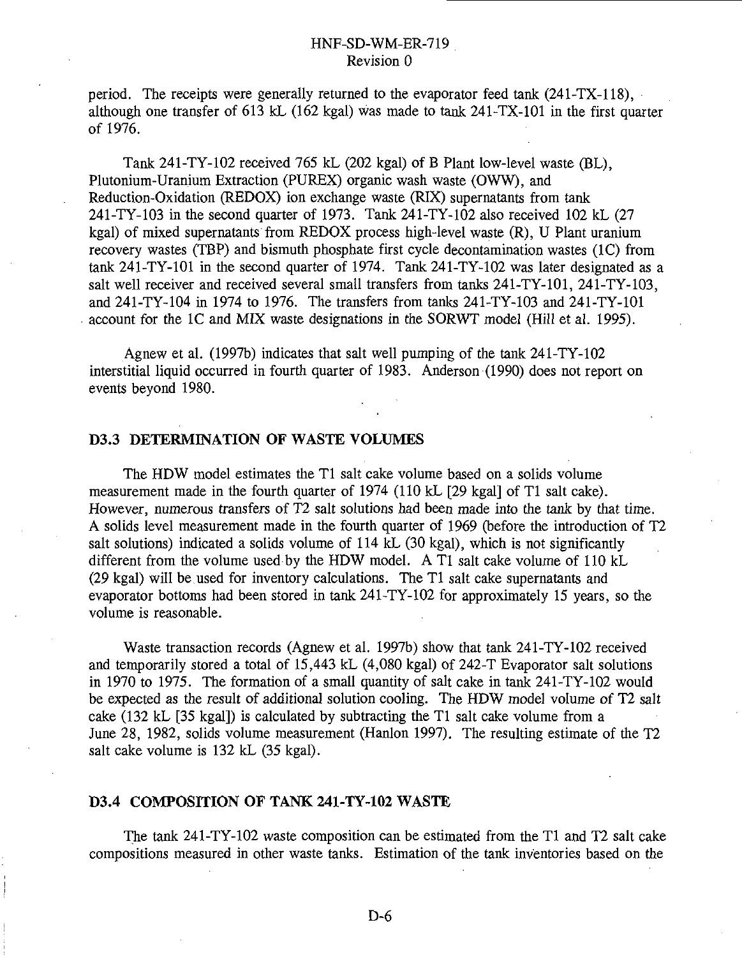period. The receipts were generally returned to the evaporator feed tank (241-TX-118), although one transfer of 613 kL (162 kgal) was made to tank  $241-TX-101$  in the first quarter of 1976.

Tank 241-TY-102 received 765 kL (202 kgal) of B Plant low-level waste (BL), Plutonium-Uranium Extraction (PUREX) organic wash waste (OWW), and Reduction-Oxidation (REDOX) ion exchange waste (RIX) supernatants from tank 241-TY-103 in the second quarter of 1973. Tank 241-TY-102 also received 102 kL (27 kgal) of mixed supernatants from REDOX process high-level waste (R), U Plant uranium recovery wastes (TBP) and bismuth phosphate first cycle decontamination wastes (1C) from tank 241-TY-101 in the second quarter of 1974. Tank 241-TY-102 was later designated as a salt well receiver and received several small transfers from tanks 241-TY-101, 241-TY-103, and 241-TY-104 in 1974 to 1976. The transfers from tanks 241-TY-103 and 241-TY-101 account for the 1C and MIX waste designations in the SORWT model (Hill et al. 1995).

Agnew et al. (1997b) indicates that salt well pumping of the tank 241-TY-102 interstitial liquid occurred in fourth quarter of 1983. Anderson (1990) does not report on events beyond 1980.

### **D3.3 DETERMINATION OF WASTE VOLUMES**

The HDW model estimates the Tl salt cake volume based on a solids volume measurement made in the fourth quarter of 1974 (110 kL [29 kgal] of Tl salt cake). However, numerous transfers of T2 salt solutions had been made into the tank by that time. A solids level measurement made in the fourth quarter of 1969 (before the introduction of T2 salt solutions) indicated a solids volume of 114 kL (30 kgal), which is not significantly different from the volume used by the HDW model. A Tl salt cake volume of 110 kL (29 kgal) will be used for inventory calculations. The Tl salt cake supernatants and evaporator bottoms had been stored in tank 241-TY-102 for approximately 15 years, so the volume is reasonable.

Waste transaction records (Agnew et al. 1997b) show that tank 241-TY-102 received and temporarily stored a total of 15,443 kL (4,080 kgal) of 242-T Evaporator salt solutions in 1970 to 1975. The formation of a small quantity of salt cake in tank 241-TY-102 would be expected as the result of additional solution cooling. The HDW model volume of T2 salt cake (132 kL [35 kgal]) is calculated by subtracting the Tl salt cake volume from a June 28, 1982, solids volume measurement (Hanlon 1997). The resulting estimate of the T2 salt cake volume is 132 kL (35 kgal).

#### **D3.4 COMPOSITION OF TANK 241-TY-102 WASTE**

The tank 241-TY-102 waste composition can be estimated from the Tl and T2 salt cake compositions measured in other waste tanks. Estimation of the tank inventories based on the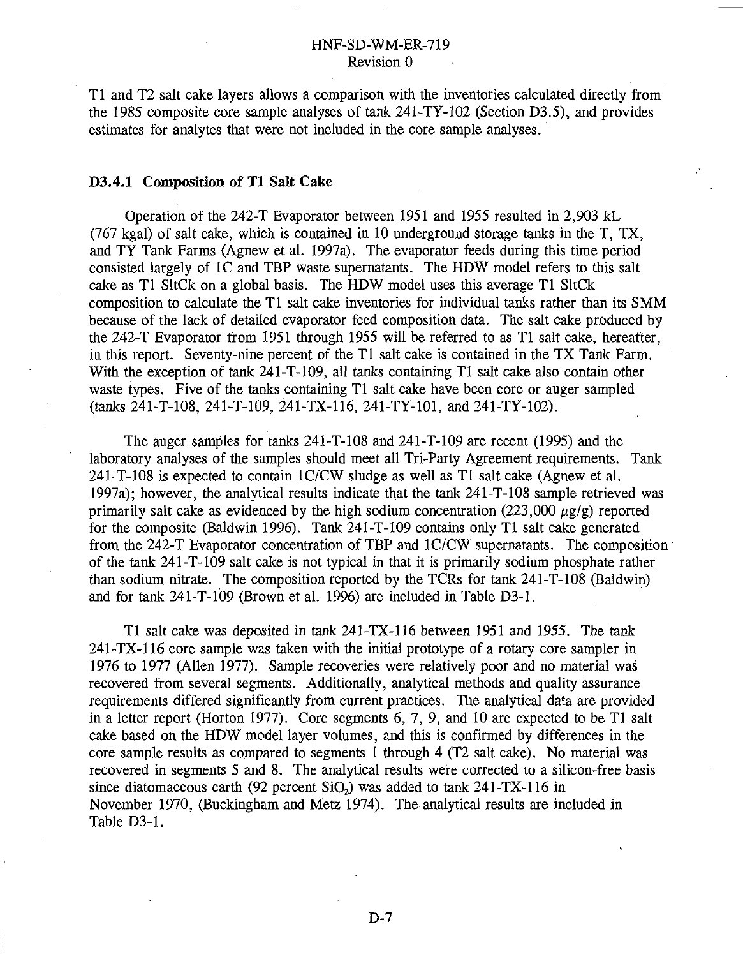Tl and T2 salt cake layers allows a comparison with the inventories calculated directly from the 1985 composite core sample analyses of tank 241-TY-102 (Section D3.5), and provides estimates for analytes that were not included in the core sample analyses.

#### **D3.4.1 Composition of Tl Salt Cake**

Operation of the 242-T Evaporator between 1951 and 1955 resulted in 2,903 kL  $(767 \text{ kga})$  of salt cake, which is contained in 10 underground storage tanks in the T, TX. and TY Tank Farms (Agnew et al. 1997a). The evaporator feeds during this time period consisted largely of 1C and TBP waste supernatants. The HDW model refers to this salt cake as Tl SltCk on a global basis. The HDW model uses this average Tl SltCk composition to calculate the Tl salt cake inventories for individual tanks rather than its SMM because of the lack of detailed evaporator feed composition data. The salt cake produced by the 242-T Evaporator from 1951 through 1955 will be referred to as Tl salt cake, hereafter, in this report. Seventy-nine percent of the Tl salt cake is contained in the TX Tank Farm. With the exception of tank 241-T-109, all tanks containing Tl salt cake also contain other waste types. Five of the tanks containing Tl salt cake have been core or auger sampled (tanks 241-T-108, 241-T-109, 241-TX-116, 241-TY-101, and 241-TY-102).

The auger samples for tanks 241-T-108 and 241-T-109 are recent (1995) and the laboratory analyses of the samples should meet all Tri-Party Agreement requirements. Tank 241-T-108 is expected to contain  $1C/CW$  sludge as well as T1 salt cake (Agnew et al. 1997a); however, the analytical results indicate that the tank 241-T-108 sample retrieved was primarily salt cake as evidenced by the high sodium concentration (223,000  $\mu$ g/g) reported for the composite (Baldwin 1996). Tank 241-T-109 contains only Tl salt cake generated from the 242-T Evaporator concentration of TBP and 1C/CW supernatants. The composition of the tank 241-T-109 salt cake is not typical in that it is primarily sodium phosphate rather than sodium nitrate. The composition reported by the TCRs for tank 241-T-108 (Baldwin) and for tank 241-T-109 (Brown et al. 1996) are included in Table D3-1.

Tl salt cake was deposited in tank 241-TX-116 between 1951 and 1955. The tank 241-TX-116 core sample was taken with the initial prototype of a rotary core sampler in 1976 to 1977 (Allen 1977). Sample recoveries were relatively poor and no material was recovered from several segments. Additionally, analytical methods and quality assurance requirements differed significantly from current practices. The analytical data are provided in a letter report (Horton 1977). Core segments 6, 7, 9, and 10 are expected to be Tl salt cake based on the HDW model layer volumes, and this is confirmed by differences in the core sample results as compared to segments 1 through 4 (T2 salt cake). No material was recovered in segments 5 and 8. The analytical results were corrected to a silicon-free basis since diatomaceous earth (92 percent SiO<sub>2</sub>) was added to tank  $241-TX-116$  in November 1970, (Buckingham and Metz 1974). The analytical results are included in Table D3-1.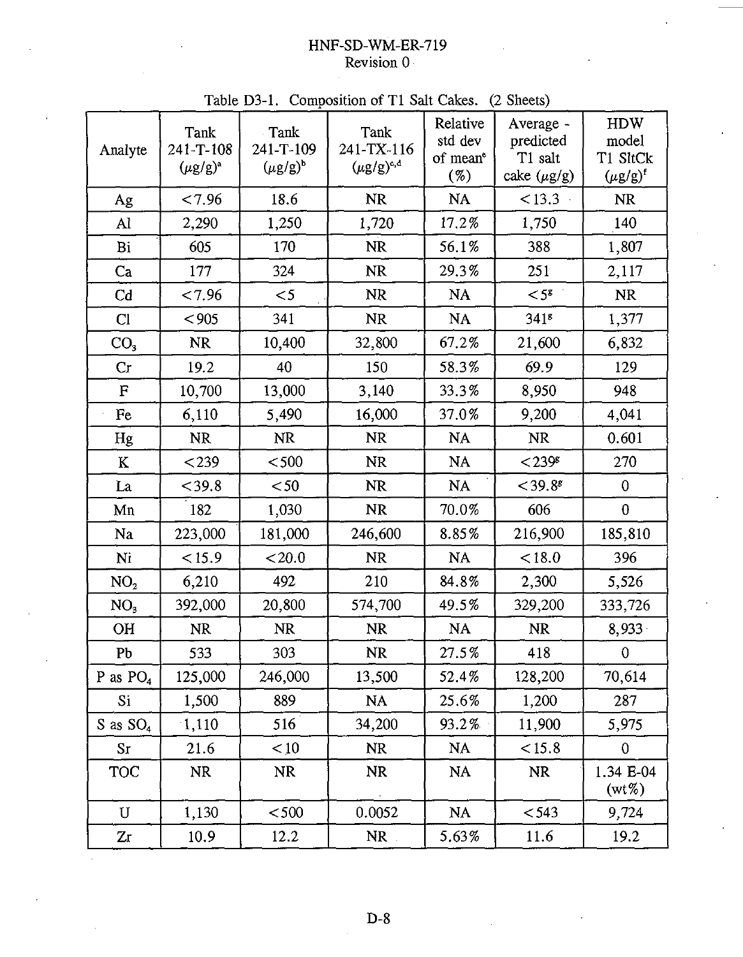| Analyte         | Tank<br>241-T-108<br>$(\mu g/g)^a$ | Tank<br>241-T-109<br>$(\mu g/g)^b$ | Tank<br>241-TX-116<br>$(\mu g/g)^{c,d}$ | Relative<br>std dev<br>of mean <sup>e</sup><br>(%) | Average -<br>predicted<br>T1 salt<br>cake $(\mu g/g)$ | <b>HDW</b><br>model<br>T1 SltCk<br>$(\mu$ g/g) <sup>f</sup> |
|-----------------|------------------------------------|------------------------------------|-----------------------------------------|----------------------------------------------------|-------------------------------------------------------|-------------------------------------------------------------|
| Ag              | < 7.96                             | 18.6                               | <b>NR</b>                               | <b>NA</b>                                          | < 13.3                                                | <b>NR</b>                                                   |
| Al              | 2,290                              | 1,250                              | 1,720                                   | 17.2%                                              | 1,750                                                 | 140                                                         |
| Bi              | 605                                | 170                                | <b>NR</b>                               | 56.1%                                              | 388                                                   | 1,807                                                       |
| Ca              | 177                                | 324                                | <b>NR</b>                               | 29.3%                                              | 251                                                   | 2,117                                                       |
| Cd              | < 7.96                             | $<$ 5                              | NR                                      | <b>NA</b>                                          | $<$ 5 <sup>g</sup>                                    | <b>NR</b>                                                   |
| Cl              | < 905                              | 341                                | <b>NR</b>                               | NA                                                 | 341 <sup>8</sup>                                      | 1,377                                                       |
| CO <sub>3</sub> | <b>NR</b>                          | 10,400                             | 32,800                                  | 67.2%                                              | 21,600                                                | 6,832                                                       |
| Cr              | 19.2                               | 40                                 | 150                                     | 58.3%                                              | 69.9                                                  | 129                                                         |
| $\mathbf F$     | 10,700                             | 13,000                             | 3,140                                   | 33.3%                                              | 8,950                                                 | 948                                                         |
| Fe              | 6,110                              | 5,490                              | 16,000                                  | 37.0%                                              | 9,200                                                 | 4,041                                                       |
| Hg              | <b>NR</b>                          | <b>NR</b>                          | <b>NR</b>                               | NA                                                 | <b>NR</b>                                             | 0.601                                                       |
| K               | < 239                              | < 500                              | <b>NR</b>                               | <b>NA</b>                                          | $<$ 239 $s$                                           | 270                                                         |
| La              | < 39.8                             | $50$                               | <b>NR</b>                               | NA                                                 | $<$ 39.8 $s$                                          | 0                                                           |
| Mn              | 182                                | 1.030                              | <b>NR</b>                               | 70.0%                                              | 606                                                   | $\theta$                                                    |
| Na              | 223,000                            | 181,000                            | 246,600                                 | 8.85%                                              | 216,900                                               | 185,810                                                     |
| Ni              | < 15.9                             | < 20.0                             | <b>NR</b>                               | NA                                                 | < 18.0                                                | 396                                                         |
| NO <sub>2</sub> | 6,210                              | 492                                | 210                                     | 84.8%                                              | 2,300                                                 | 5,526                                                       |
| NO <sub>3</sub> | 392,000                            | 20,800                             | 574,700                                 | 49.5%                                              | 329,200                                               | 333,726                                                     |
| OH              | NR                                 | <b>NR</b>                          | <b>NR</b>                               | <b>NA</b>                                          | <b>NR</b>                                             | 8,933                                                       |
| Pb              | 533                                | 303                                | <b>NR</b>                               | 27.5%                                              | 418                                                   | $\Omega$                                                    |
| P as $PO4$      | 125,000                            | 246,000                            | 13,500                                  | 52.4%                                              | 128,200                                               | 70,614                                                      |
| Si              | 1,500                              | 889                                | <b>NA</b>                               | 25.6%                                              | 1,200                                                 | 287                                                         |
| $S$ as $SO_4$   | 1,110                              | 516                                | 34,200                                  | 93.2%                                              | 11,900                                                | 5,975                                                       |
| Sr              | 21.6                               | < 10                               | <b>NR</b>                               | <b>NA</b>                                          | < 15.8                                                | $\mathbf 0$                                                 |
| <b>TOC</b>      | <b>NR</b>                          | NR                                 | <b>NR</b>                               | <b>NA</b>                                          | <b>NR</b>                                             | 1.34 E-04<br>$(wt\%)$                                       |
| U               | 1,130                              | < 500                              | 0.0052                                  | NA                                                 | < 543                                                 | 9,724                                                       |
| Zr              | 10.9                               | 12.2                               | NR.                                     | 5.63%                                              | 11.6                                                  | 19.2                                                        |

Table D3-1. Composition of Tl Salt Cakes. (2 Sheets)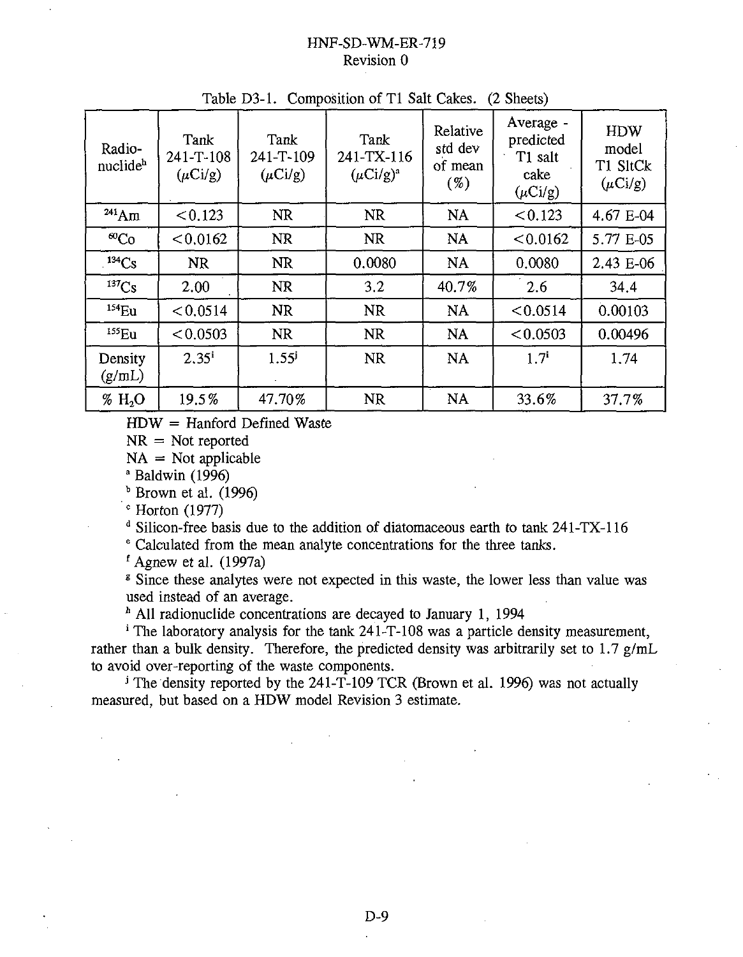| Radio-<br>nuclide <sup>h</sup> | Tank<br>241-T-108<br>$(\mu Ci/g)$ | Tank<br>241-T-109<br>$(\mu Ci/g)$ | Tank<br>241-TX-116<br>$(\mu Ci/g)^a$ | Relative<br>std dev<br>of mean<br>(%) | Average -<br>predicted<br>T1 salt<br>cake<br>$(\mu Ci/g)$ | <b>HDW</b><br>model<br>T1 SltCk<br>$(\mu\mathrm{Ci/g})$ |  |  |  |
|--------------------------------|-----------------------------------|-----------------------------------|--------------------------------------|---------------------------------------|-----------------------------------------------------------|---------------------------------------------------------|--|--|--|
| $^{241}Am$                     | < 0.123                           | <b>NR</b>                         | NR.                                  | NA                                    | < 0.123                                                   | 4.67 E-04                                               |  |  |  |
| ${}^{60}Co$                    | < 0.0162                          | NR.                               | <b>NR</b>                            | NA                                    | < 0.0162                                                  | 5.77 E-05                                               |  |  |  |
| 134Cs                          | <b>NR</b>                         | <b>NR</b>                         | 0.0080                               | NA                                    | 0.0080                                                    | 2.43 E-06                                               |  |  |  |
| 137Cs                          | 2.00                              | <b>NR</b>                         | 3.2                                  | 40.7%                                 | 2.6                                                       | 34.4                                                    |  |  |  |
| $154$ Eu                       | < 0.0514                          | <b>NR</b>                         | <b>NR</b>                            | NA                                    | < 0.0514                                                  | 0.00103                                                 |  |  |  |
| 155Eu                          | < 0.0503                          | <b>NR</b>                         | <b>NR</b>                            | NA                                    | < 0.0503                                                  | 0.00496                                                 |  |  |  |
| Density<br>(g/mL)              | $2.35^{i}$                        | $1.55^{j}$                        | <b>NR</b>                            | NA                                    | $1.7^{i}$                                                 | 1.74                                                    |  |  |  |
| % H <sub>2</sub> O             | 19.5%                             | 47.70%                            | <b>NR</b>                            | <b>NA</b>                             | 33.6%                                                     | 37.7%                                                   |  |  |  |

Table D3-1. Composition of Tl Salt Cakes. (2 Sheets)

 $HDW =$  Hanford Defined Waste

 $NR = Not$  reported

 $NA = Not applicable$ 

 $^*$  Baldwin (1996)

b Brown et al. (1996)

c Horton (1977)

<sup>d</sup> Silicon-free basis due to the addition of diatomaceous earth to tank 241-TX-116

e Calculated from the mean analyte concentrations for the three tanks.

f Agnew et al. (1997a)

<sup>8</sup> Since these analytes were not expected in this waste, the lower less than value was used instead of an average.

<sup>h</sup> All radionuclide concentrations are decayed to January 1, 1994

' The laboratory analysis for the tank 241-T-108 was a particle density measurement, rather than a bulk density. Therefore, the predicted density was arbitrarily set to 1.7 g/mL to avoid over-reporting of the waste components.

<sup>j</sup> The density reported by the 241-T-109 TCR (Brown et al. 1996) was not actually measured, but based on a HDW model Revision 3 estimate.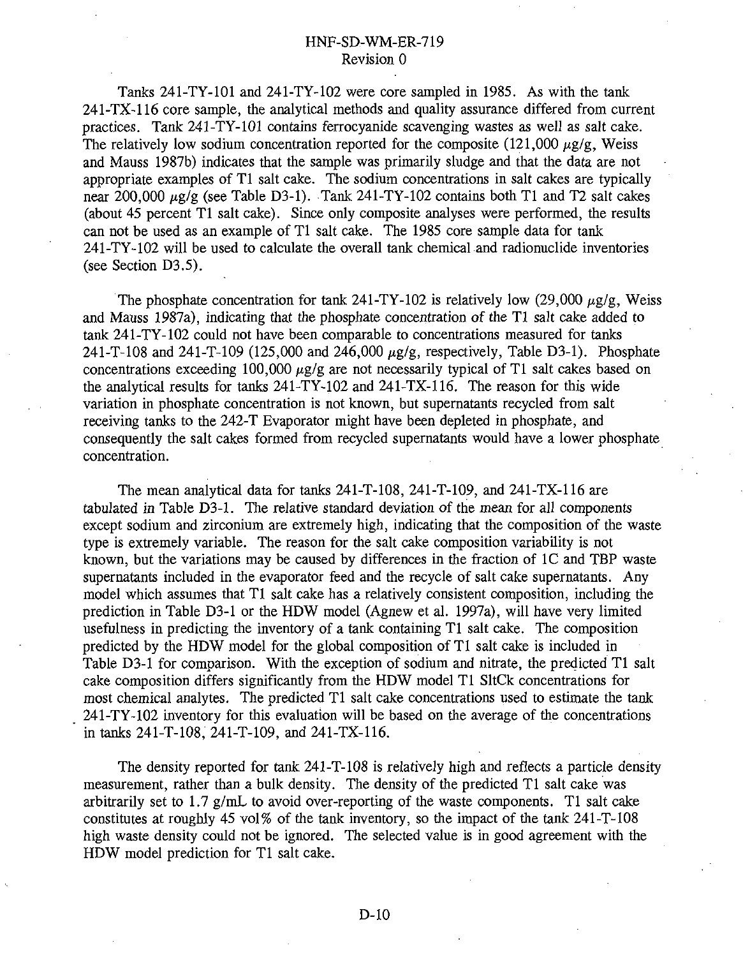Tanks 241-TY-101 and 241-TY-102 were core sampled in 1985. As with the tank 241-TX-116 core sample, the analytical methods and quality assurance differed from current practices. Tank 241-TY-101 contains ferrocyanide scavenging wastes as well as salt cake. The relatively low sodium concentration reported for the composite (121,000  $\mu$ g/g, Weiss and Mauss 1987b) indicates that the sample was primarily sludge and that the data are not appropriate examples of Tl salt cake. The sodium concentrations in salt cakes are typically near 200,000  $\mu$ g/g (see Table D3-1). Tank 241-TY-102 contains both T1 and T2 salt cakes (about 45 percent Tl salt cake). Since only composite analyses were performed, the results can not be used as an example of Tl salt cake. The 1985 core sample data for tank 241-TY-102 will be used to calculate the overall tank chemical and radionuclide inventories (see Section D3.5).

The phosphate concentration for tank 241-TY-102 is relatively low (29.000  $\mu$ g/g, Weiss and Mauss 1987a), indicating that the phosphate concentration of the Tl salt cake added to tank 241-TY-102 could not have been comparable to concentrations measured for tanks 241-T-108 and 241-T-109 (125,000 and 246,000  $\mu$ g/g, respectively, Table D3-1). Phosphate concentrations exceeding 100,000  $\mu$ g/g are not necessarily typical of Tl salt cakes based on the analytical results for tanks 241-TY-102 and 241-TX-116. The reason for this wide variation in phosphate concentration is not known, but supernatants recycled from salt receiving tanks to the 242-T Evaporator might have been depleted in phosphate, and consequently the salt cakes formed from recycled supernatants would have a lower phosphate concentration.

The mean analytical data for tanks 241-T-108, 241-T-109, and 241-TX-116 are tabulated in Table D3-1. The relative standard deviation of the mean for all components except sodium and zirconium are extremely high, indicating that the composition of the waste type is extremely variable. The reason for the salt cake composition variability is not known, but the variations may be caused by differences in the fraction of 1C and TBP waste supernatants included in the evaporator feed and the recycle of salt cake supernatants. Any model which assumes that Tl salt cake has a relatively consistent composition, including the prediction in Table D3-1 or the HDW model (Agnew et al. 1997a), will have very limited usefulness in predicting the inventory of a tank containing Tl salt cake. The composition predicted by the HDW model for the global composition of Tl salt cake is included in Table D3-1 for comparison. With the exception of sodium and nitrate, the predicted Tl salt cake composition differs significantly from the HDW model Tl SltCk concentrations for most chemical analytes. The predicted Tl salt cake concentrations used to estimate the tank 241-TY-102 inventory for this evaluation will be based on the average of the concentrations in tanks 241-T-108, 241-T-109, and 241-TX-116.

The density reported for tank 241-T-108 is relatively high and reflects a particle density measurement, rather than a bulk density. The density of the predicted Tl salt cake was arbitrarily set to 1.7  $g/mL$  to avoid over-reporting of the waste components. T1 salt cake constitutes at roughly 45 vol% of the tank inventory, so the impact of the tank 241-T-108 high waste density could not be ignored. The selected value is in good agreement with the HDW model prediction for Tl salt cake.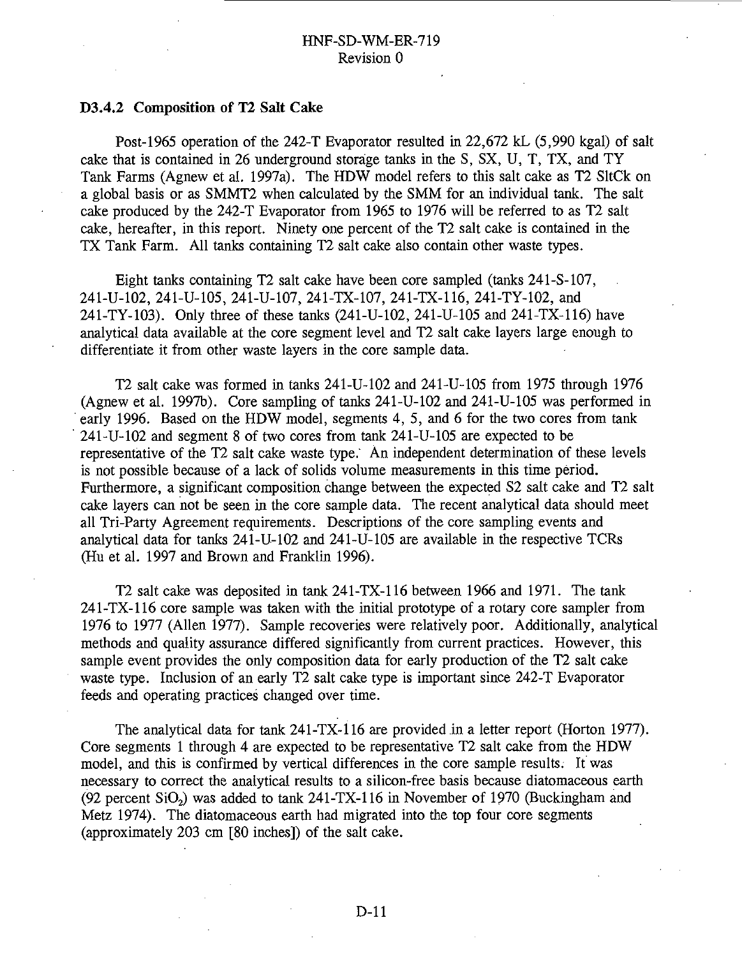#### **D3.4.2 Composition of T2 Salt Cake**

Post-1965 operation of the 242-T Evaporator resulted in 22,672 kL (5,990 kgal) of salt cake that is contained in 26 underground storage tanks in the S, SX, U, T, TX, and TY Tank Farms (Agnew et al. 1997a). The HDW model refers to this salt cake as T2 SltCk on a global basis or as SMMT2 when calculated by the SMM for an individual tank. The salt cake produced by the 242-T Evaporator from 1965 to 1976 will be referred to as T2 salt cake, hereafter, in this report. Ninety one percent of the T2 salt cake is contained in the TX Tank Farm. All tanks containing T2 salt cake also contain other waste types.

Eight tanks containing T2 salt cake have been core sampled (tanks 241-S-107, 241-U-102, 241-U-105, 241-U-107, 241-TX-107, 241-TX-116, 241-TY-102, and 241-TY-103). Only three of these tanks (241-U-102, 241-U-105 and 241-TX-116) have analytical data available at the core segment level and T2 salt cake layers large enough to differentiate it from other waste layers in the core sample data.

T2 salt cake was formed in tanks 241-U-102 and 241-U-105 from 1975 through 1976 (Agnew et al. 1997b). Core sampling of tanks 241-U-102 and 241-U-105 was performed in early 1996. Based on the HDW model, segments 4, 5, and 6 for the two cores from tank 241-U-102 and segment 8 of two cores from tank 241-U-105 are expected to be representative of the T2 salt cake waste type.' An independent determination of these levels is not possible because of a lack of solids volume measurements in this time period. Furthermore, a significant composition change between the expected S2 salt cake and T2 salt cake layers can not be seen in the core sample data. The recent analytical data should meet all Tri-Party Agreement requirements. Descriptions of the core sampling events and analytical data for tanks 241-U-102 and 241-U-105 are available in the respective TCRs (Hu et al. 1997 and Brown and Franklin 1996).

T2 salt cake was deposited in tank 241-TX-116 between 1966 and 1971. The tank 241-TX-116 core sample was taken with the initial prototype of a rotary core sampler from 1976 to 1977 (Allen 1977). Sample recoveries were relatively poor. Additionally, analytical methods and quality assurance differed significantly from current practices. However, this sample event provides the only composition data for early production of the T2 salt cake waste type. Inclusion of an early T2 salt cake type is important since 242-T Evaporator feeds and operating practices changed over time.

The analytical data for tank 241-TX-116 are provided in a letter report (Horton 1977). Core segments 1 through 4 are expected to be representative T2 salt cake from the HDW model, and this is confirmed by vertical differences in the core sample results. It was necessary to correct the analytical results to a silicon-free basis because diatomaceous earth (92 percent  $SiO<sub>2</sub>$ ) was added to tank 241-TX-116 in November of 1970 (Buckingham and Metz 1974). The diatomaceous earth had migrated into the top four core segments (approximately 203 cm [80 inches]) of the salt cake.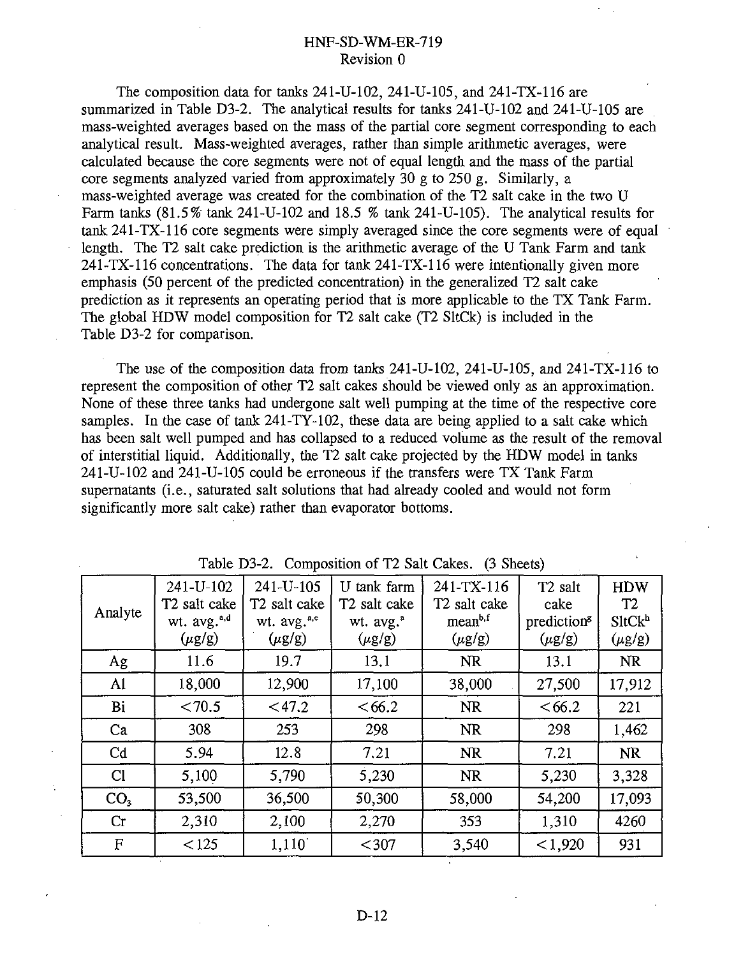The composition data for tanks 241-U-102, 241-U-105, and 241-TX-116 are summarized in Table D3-2. The analytical results for tanks 241-U-102 and 241-U-105 are mass-weighted averages based on the mass of the partial core segment corresponding to each analytical result. Mass-weighted averages, rather than simple arithmetic averages, were calculated because the core segments were not of equal length and the mass of the partial core segments analyzed varied from approximately 30 g to 250 g. Similarly, a mass-weighted average was created for the combination of the T2 salt cake in the two U Farm tanks (81.5% tank 241-U-102 and 18.5 % tank 241-U-105). The analytical results for tank 241-TX-116 core segments were simply averaged since the core segments were of equal length. The T2 salt cake prediction is the arithmetic average of the U Tank Farm and tank 241-TX-116 concentrations. The data for tank 241-TX-116 were intentionally given more emphasis (50 percent of the predicted concentration) in the generalized T2 salt cake prediction as it represents an operating period that is more applicable to the TX Tank Farm. The global HDW model composition for T2 salt cake  $(T2 S)$  included in the Table D3-2 for comparison.

The use of the composition data from tanks 241-U-102, 241-U-105, and 241-TX-116 to represent the composition of other T2 salt cakes should be viewed only as an approximation. None of these three tanks had undergone salt well pumping at the time of the respective core samples. In the case of tank 241-TY-102, these data are being applied to a salt cake which has been salt well pumped and has collapsed to a reduced volume as the result of the removal of interstitial liquid. Additionally, the T2 salt cake projected by the HDW model in tanks 241-U-102 and 241-U-105 could be erroneous if the transfers were TX Tank Farm supernatants (i.e., saturated salt solutions that had already cooled and would not form significantly more salt cake) rather than evaporator bottoms.

| Analyte         | 241-U-102<br>T2 salt cake<br>wt. avg. <sup>a,d</sup><br>$(\mu g/g)$ | 241-U-105<br>T <sub>2</sub> salt cake<br>wt. avg. <sup>a,e</sup><br>$(\mu g/g)$ | U tank farm<br>T <sub>2</sub> salt cake<br>wt. avg. <sup>a</sup><br>$(\mu g/g)$ | 241-TX-116<br>T <sub>2</sub> salt cake<br>mean <sup>b,f</sup><br>$(\mu g/g)$ | T <sub>2</sub> salt<br>cake<br>prediction <sup>s</sup><br>$(\mu g/g)$ | <b>HDW</b><br>T <sub>2</sub><br>$S$ lt $Ckh$<br>$(\mu g/g)$ |
|-----------------|---------------------------------------------------------------------|---------------------------------------------------------------------------------|---------------------------------------------------------------------------------|------------------------------------------------------------------------------|-----------------------------------------------------------------------|-------------------------------------------------------------|
| Ag              | 11.6                                                                | 19.7                                                                            | 13.1                                                                            | NR.                                                                          | 13.1                                                                  | <b>NR</b>                                                   |
| Al              | 18,000                                                              | 12,900                                                                          | 17,100                                                                          | 38,000                                                                       | 27,500                                                                | 17,912                                                      |
| Bi              | < 70.5                                                              | < 47.2                                                                          | <66.2                                                                           | <b>NR</b>                                                                    | <66.2                                                                 | 221                                                         |
| Ca              | 308                                                                 | 253                                                                             | 298                                                                             | NR.                                                                          | 298                                                                   | 1,462                                                       |
| Cd              | 5.94                                                                | 12.8                                                                            | 7.21                                                                            | NR.                                                                          | 7.21                                                                  | NR.                                                         |
| Cl              | 5,100                                                               | 5,790                                                                           | 5,230                                                                           | NR.                                                                          | 5.230                                                                 | 3,328                                                       |
| CO <sub>3</sub> | 53,500                                                              | 36,500                                                                          | 50,300                                                                          | 58,000                                                                       | 54,200                                                                | 17,093                                                      |
| $C_{r}$         | 2,310                                                               | 2,100                                                                           | 2,270                                                                           | 353                                                                          | 1.310                                                                 | 4260                                                        |
| $\mathbf F$     | < 125                                                               | 1.110                                                                           | $307$                                                                           | 3,540                                                                        | < 1.920                                                               | 931                                                         |

Table D3-2. Composition of T2 Salt Cakes. (3 Sheets)

D-12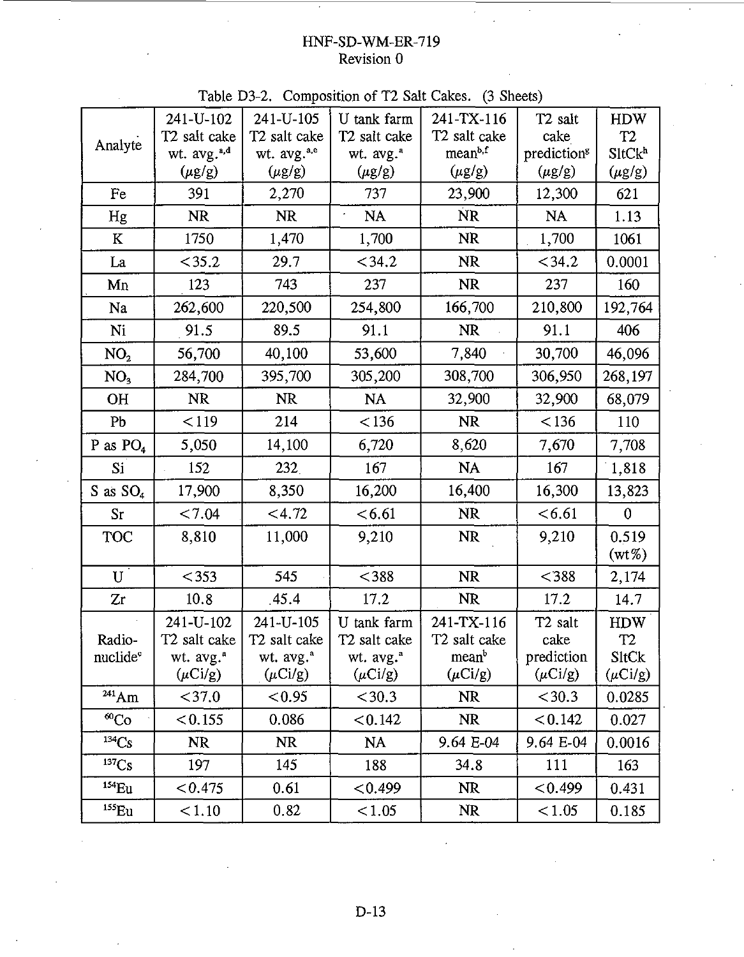| ravio Do-L.<br>Composition of 12 bail Carlos.<br>$\omega$ butches |                                                                                |                                                                                |                                                                              |                                                                 |                                                           |                                                       |  |  |
|-------------------------------------------------------------------|--------------------------------------------------------------------------------|--------------------------------------------------------------------------------|------------------------------------------------------------------------------|-----------------------------------------------------------------|-----------------------------------------------------------|-------------------------------------------------------|--|--|
| Analyte                                                           | 241-U-102<br>T2 salt cake                                                      | 241-U-105<br>T2 salt cake                                                      | U tank farm<br>T2 salt cake                                                  | 241-TX-116<br>T2 salt cake                                      | T <sub>2</sub> salt<br>cake                               | <b>HDW</b><br>T <sub>2</sub>                          |  |  |
|                                                                   | wt. avg. <sup>a,d</sup>                                                        | wt. avg. <sup>a,e</sup>                                                        | mean <sup>b,f</sup><br>wt. avg. <sup>a</sup>                                 |                                                                 | prediction <sup>8</sup>                                   | SltCk <sup>h</sup>                                    |  |  |
|                                                                   | $(\mu g/g)$                                                                    | $(\mu g/g)$                                                                    | $(\mu g/g)$                                                                  | $(\mu g/g)$                                                     | $(\mu g/g)$                                               | $(\mu g/g)$                                           |  |  |
| Fe                                                                | 391                                                                            | 2,270                                                                          | 737                                                                          | 23,900                                                          | 12,300                                                    | 621                                                   |  |  |
| Hg                                                                | <b>NR</b>                                                                      | <b>NR</b>                                                                      | <b>NA</b>                                                                    | ŃR                                                              | <b>NA</b>                                                 | 1.13                                                  |  |  |
| $\mathbf K$                                                       | 1750                                                                           | 1,470                                                                          | 1,700                                                                        | <b>NR</b>                                                       | 1,700                                                     | 1061                                                  |  |  |
| La                                                                | < 35.2                                                                         | 29.7                                                                           | < 34.2                                                                       | <b>NR</b>                                                       | < 34.2                                                    | 0.0001                                                |  |  |
| Mņ                                                                | 123                                                                            | 743                                                                            | 237                                                                          | <b>NR</b>                                                       | 237                                                       | 160                                                   |  |  |
| Na                                                                | 262,600                                                                        | 220,500                                                                        | 254,800                                                                      | 166,700                                                         | 210,800                                                   | 192,764                                               |  |  |
| Ni                                                                | 91.5                                                                           | 89.5                                                                           | 91.1                                                                         | <b>NR</b>                                                       | 91.1                                                      | 406                                                   |  |  |
| NO <sub>2</sub>                                                   | 56,700                                                                         | 40,100                                                                         | 53,600                                                                       | 7,840                                                           | 30,700                                                    | 46,096                                                |  |  |
| NO <sub>3</sub>                                                   | 284,700                                                                        | 395,700                                                                        | 305,200                                                                      | 308,700                                                         | 306,950                                                   | 268,197                                               |  |  |
| OH                                                                | NR                                                                             | <b>NR</b>                                                                      | NA                                                                           | 32,900                                                          | 32,900                                                    | 68,079                                                |  |  |
| Pb                                                                | < 119                                                                          | 214                                                                            | < 136                                                                        | <b>NR</b>                                                       | < 136                                                     | 110                                                   |  |  |
| P as $PO4$                                                        | 5,050                                                                          | 14,100                                                                         | 6.720                                                                        | 8,620                                                           | 7,670                                                     | 7,708                                                 |  |  |
| Si                                                                | 152                                                                            | 232                                                                            | 167                                                                          | <b>NA</b>                                                       | 167                                                       | 1,818                                                 |  |  |
| $S$ as $SO4$                                                      | 17,900                                                                         | 8,350                                                                          | 16,200                                                                       | 16,400                                                          | 16,300                                                    | 13,823                                                |  |  |
| Sr                                                                | < 7.04                                                                         | < 4.72                                                                         | < 6.61                                                                       | <b>NR</b>                                                       | < 6.61                                                    | $\Omega$                                              |  |  |
| <b>TOC</b>                                                        | 8,810                                                                          | 11,000                                                                         | 9,210                                                                        | <b>NR</b>                                                       | 9,210                                                     | 0.519<br>$(wt\%)$                                     |  |  |
| U                                                                 | < 353                                                                          | 545                                                                            | < 388                                                                        | <b>NR</b>                                                       | < 388                                                     | 2,174                                                 |  |  |
| Zr                                                                | 10.8                                                                           | 45.4                                                                           | 17.2                                                                         | <b>NR</b>                                                       | 17.2                                                      | 14.7                                                  |  |  |
| Radio-<br>nuclide <sup>c</sup>                                    | 241-U-102<br>T <sub>2</sub> salt cake<br>wt. avg. <sup>a</sup><br>$(\mu Ci/g)$ | 241-U-105<br>T <sub>2</sub> salt cake<br>wt. avg. <sup>a</sup><br>$(\mu Ci/g)$ | U tank farm<br>T2 salt cake<br>wt. avg. <sup>a</sup><br>$(\mu\mathrm{Ci/g})$ | 241-TX-116<br>T2 salt cake<br>mean <sup>b</sup><br>$(\mu Ci/g)$ | T <sub>2</sub> salt<br>cake<br>prediction<br>$(\mu Ci/g)$ | <b>HDW</b><br>T <sub>2</sub><br>SltCk<br>$(\mu Ci/g)$ |  |  |
| $^{241}Am$                                                        | $<$ 37.0                                                                       | < 0.95                                                                         | < 30.3                                                                       | <b>NR</b>                                                       | < 30.3                                                    | 0.0285                                                |  |  |
| $\overline{^{60}Co}$                                              | < 0.155                                                                        | 0.086                                                                          | < 0.142                                                                      | NR.                                                             | < 0.142                                                   | 0.027                                                 |  |  |
| 134Cs                                                             | <b>NR</b>                                                                      | <b>NR</b>                                                                      | $\rm NA$                                                                     | 9.64 E-04                                                       | 9.64 E-04                                                 | 0.0016                                                |  |  |
| 137Cs                                                             | 197                                                                            | 145                                                                            | 188                                                                          | 34.8                                                            | 111                                                       | 163                                                   |  |  |
| $154$ Eu                                                          | < 0.475                                                                        | 0.61                                                                           | < 0.499                                                                      | <b>NR</b>                                                       | < 0.499                                                   | 0.431                                                 |  |  |
| $^{155}$ Eu                                                       | < 1.10                                                                         | 0.82                                                                           | < 1.05                                                                       | $\rm NR$                                                        | < 1.05                                                    | 0.185                                                 |  |  |

Table D3-2. Composition of T2 Salt Cakes. (3 Sheets)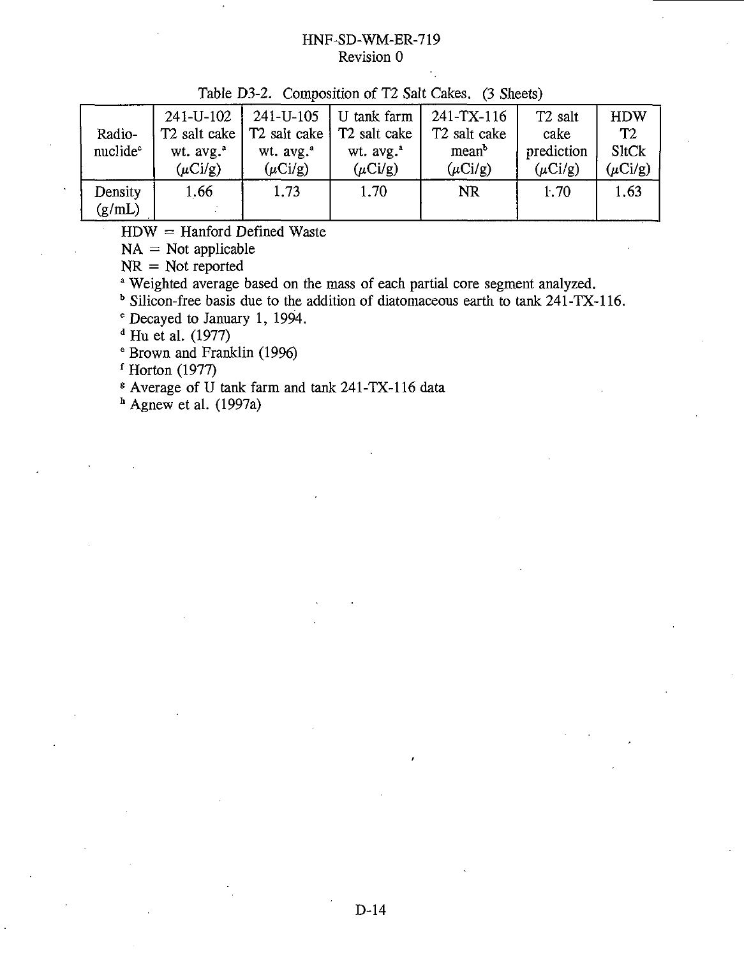|                      | 241-U-102             | 241-U-105                                           | U tank farm              | 241-TX-116               | T <sub>2</sub> salt | <b>HDW</b>   |
|----------------------|-----------------------|-----------------------------------------------------|--------------------------|--------------------------|---------------------|--------------|
| Radio-               |                       | T <sub>2</sub> salt cake   T <sub>2</sub> salt cake | T <sub>2</sub> salt cake | T <sub>2</sub> salt cake | cake                | T2           |
| nuclide <sup>e</sup> | wt. avg. <sup>a</sup> | wt. avg. <sup>a</sup>                               | wt. avg. <sup>a</sup>    | mean <sup>b</sup>        | prediction          | SltCk        |
|                      | $(\mu Ci/g)$          | $(\mu\mathrm{Ci/g})$                                | $(\mu Ci/g)$             | $(\mu Ci/g)$             | $(\mu Ci/g)$        | $(\mu Ci/g)$ |
| Density              | 1.66                  | 1.73                                                | 1.70                     | NR                       | 1.70                | 1.63         |
| (g/mL)               |                       |                                                     |                          |                          |                     |              |

Table D3-2. Composition of T2 Salt Cakes. (3 Sheets)

 $HDW =$  Hanford Defined Waste

 $NA = Not applicable$ 

 $NR = Not$  reported

\* Weighted average based on the mass of each partial core segment analyzed.

<sup>b</sup> Silicon-free basis due to the addition of diatomaceous earth to tank 241-TX-116.

c Decayed to January 1, 1994.

d Hu et al. (1977)

*\** Brown and Franklin (1996)

f Horton (1977)

8 Average of U tank farm and tank 241-TX-l 16 data

h Agnew et al. (1997a)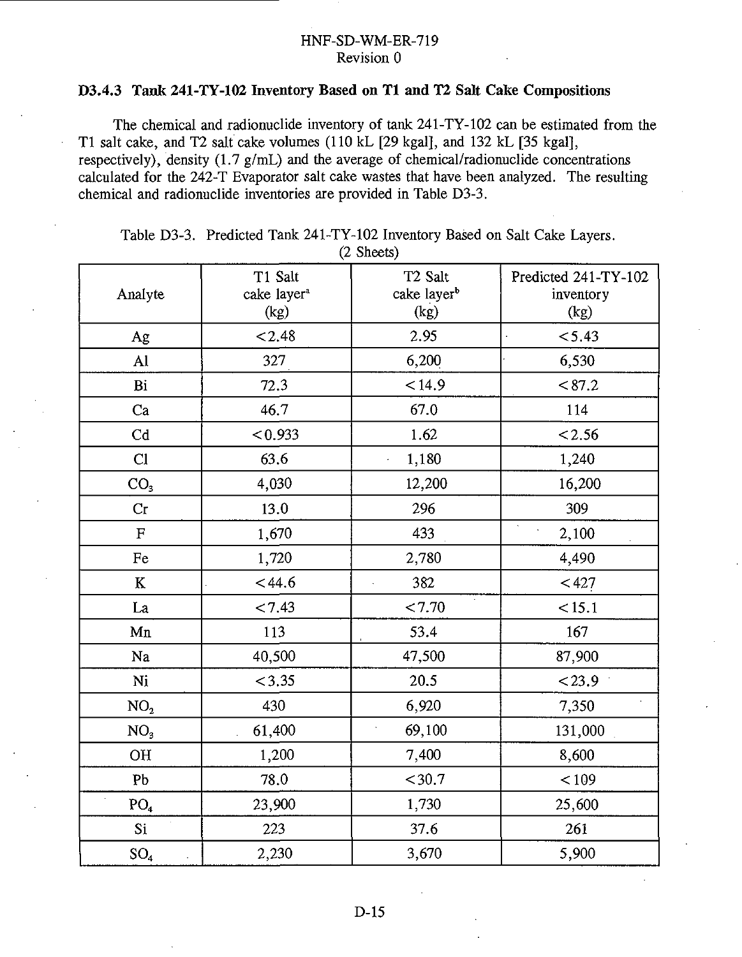## **D3.4.3 Tank 241-TY-102 Inventory Based on Tl and T2 Salt Cake Compositions**

The chemical and radionuclide inventory of tank 241-TY-102 can be estimated from the Tl salt cake, and T2 salt cake volumes (110 kL [29 kgal], and 132 kL [35 kgal], respectively), density (1.7 g/mL) and the average of chemical/radionuclide concentrations calculated for the 242-T Evaporator salt cake wastes that have been analyzed. The resulting chemical and radionuclide inventories are provided in Table D3-3.

| Analyte         | T1 Salt<br>cake layer <sup>a</sup><br>(kg) | T <sub>2</sub> Salt<br>cake layer <sup>b</sup><br>(kg) | Predicted 241-TY-102<br>inventory<br>(kg) |
|-----------------|--------------------------------------------|--------------------------------------------------------|-------------------------------------------|
| Ag              | < 2.48                                     | 2.95                                                   | < 5.43                                    |
| Al              | 327                                        | 6,200                                                  | 6,530                                     |
| Bi              | 72.3                                       | < 14.9                                                 | < 87.2                                    |
| Ca              | 46.7                                       | 67.0                                                   | 114                                       |
| Cd              | < 0.933                                    | 1.62                                                   | < 2.56                                    |
| Cl              | 63.6                                       | 1,180                                                  | 1,240                                     |
| CO <sub>3</sub> | 4,030                                      | 12,200                                                 | 16,200                                    |
| Cr              | 13.0                                       | 296                                                    | 309                                       |
| F               | 1,670                                      | 433                                                    | 2,100                                     |
| Fe              | 1,720                                      | 2,780                                                  | 4,490                                     |
| K               | < 44.6                                     | 382                                                    | < 427                                     |
| La              | < 7.43                                     | < 7.70                                                 | < 15.1                                    |
| Mn              | 113                                        | 53.4                                                   | 167                                       |
| Na              | 40,500                                     | 47,500                                                 | 87,900                                    |
| Ni              | < 3.35                                     | 20.5                                                   | < 23.9                                    |
| NO <sub>2</sub> | 430                                        | 6,920                                                  | 7,350                                     |
| NO <sub>3</sub> | 61,400                                     | 69,100                                                 | 131,000                                   |
| OH              | 1,200                                      | 7,400                                                  | 8,600                                     |
| Pb              | 78.0                                       | < 30.7                                                 | < 109                                     |
| PO <sub>4</sub> | 23,900                                     | 1,730                                                  | 25,600                                    |
| Si              | 223                                        | 37.6                                                   | 261                                       |
| $SO_4$          | 2,230                                      | 3,670                                                  | 5,900                                     |

Table D3-3. Predicted Tank 241-TY-102 Inventory Based on Salt Cake Layers. (2 Sheets)

D-15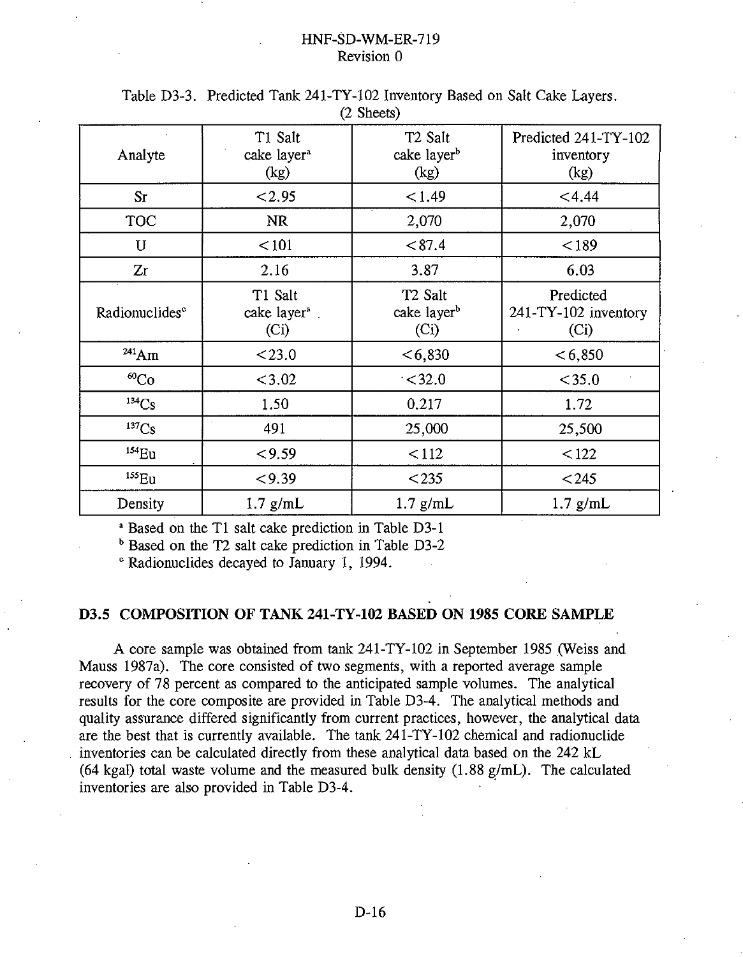| Analyte                    | T1 Salt<br>cake layer <sup>a</sup><br>(kg)   | T <sub>2</sub> Salt<br>cake layer <sup>b</sup><br>(kg) | Predicted 241-TY-102<br>inventory<br>(kg)    |
|----------------------------|----------------------------------------------|--------------------------------------------------------|----------------------------------------------|
| Sr                         | < 2.95                                       | < 1.49                                                 | $<$ 4.44                                     |
| <b>TOC</b>                 | <b>NR</b>                                    | 2,070                                                  | 2,070                                        |
| U                          | < 101                                        | < 87.4                                                 | < 189                                        |
| Zr                         | 2.16                                         | 3.87                                                   | 6.03                                         |
| Radionuclides <sup>e</sup> | T1 Salt<br>cake layer <sup>a</sup> .<br>(Ci) | T <sub>2</sub> Salt<br>cake layer <sup>b</sup><br>(Ci) | Predicted<br>$241$ -TY-102 inventory<br>(Ci) |
| $^{241}Am$                 | < 23.0                                       | <6,830                                                 | < 6,850                                      |
| $^{60}Co$                  | < 3.02                                       | $\leq 32.0$                                            | < 35.0                                       |
| 134Cs                      | 1.50                                         | 0.217                                                  | 1.72                                         |
| 137Cs                      | 491                                          | 25,000                                                 | 25,500                                       |
| $154$ Eu                   | < 9.59                                       | < 112                                                  | < 122                                        |
| $155$ Eu                   | < 9.39                                       | < 235                                                  | < 245                                        |
| Density                    | $1.7$ g/mL                                   | $1.7$ g/mL                                             | $1.7$ g/mL                                   |

Table D3-3. Predicted Tank 241-TY- 102 Inventory Based on Salt Cake Layers. (2 Sheets)

\* Based on the Tl salt cake prediction in Table D3-1

b Based on the T2 salt cake prediction in Table D3-2

0 Radionuclides decayed to January 1, 1994.

## **D3.5 COMPOSITION OF TANK 241-TY-102 BASED ON 1985 CORE SAMPLE**

A core sample was obtained from tank 241-TY-102 in September 1985 (Weiss and Mauss 1987a). The core consisted of two segments, with a reported average sample recovery of 78 percent as compared to the anticipated sample volumes. The analytical results for the core composite are provided in Table D3-4. The analytical methods and quality assurance differed significantly from current practices, however, the analytical data are the best that is currently available. The tank 241-TY-102 chemical and radionuclide inventories can be calculated directly from these analytical data based on the 242 kL (64 kgal) total waste volume and the measured bulk density  $(1.88 \text{ g/mL})$ . The calculated inventories are also provided in Table D3-4.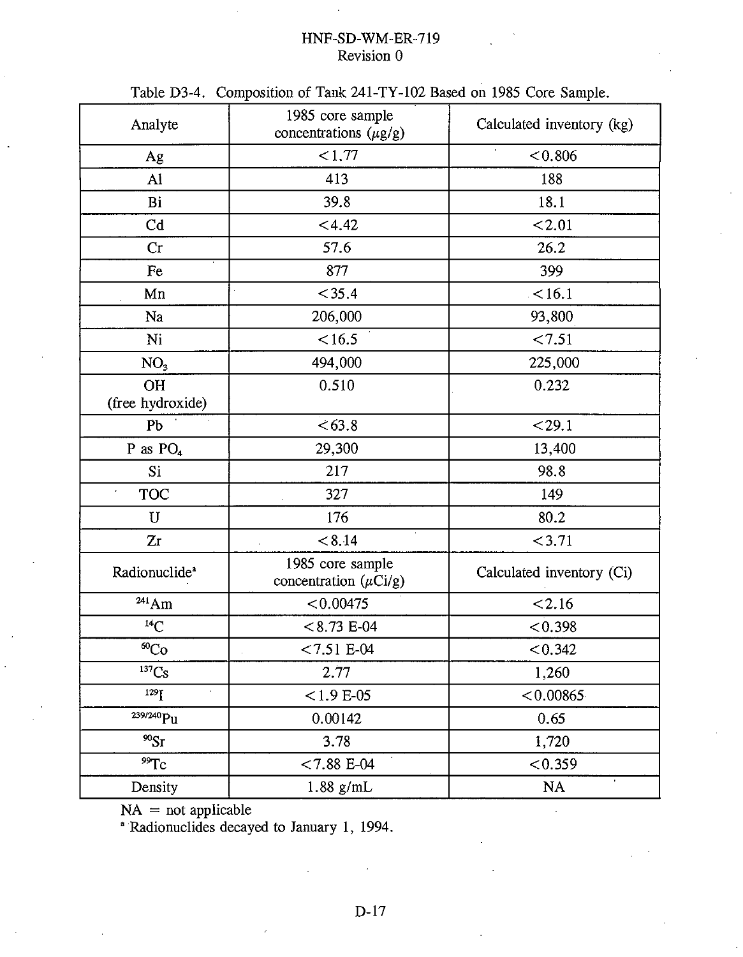| Table D3-4. Composition of Tank 241-TY-102 Based on 1985 Core Sample. |  |  |
|-----------------------------------------------------------------------|--|--|
|                                                                       |  |  |

| Analyte                   | 1985 core sample<br>concentrations $(\mu g/g)$ | Calculated inventory (kg) |  |
|---------------------------|------------------------------------------------|---------------------------|--|
| Ag                        | 1.77                                           | < 0.806                   |  |
| Al                        | 413                                            | 188                       |  |
| Bi                        | 39.8                                           | 18.1                      |  |
| Cd                        | < 4.42                                         | < 2.01                    |  |
| Cr                        | 57.6                                           | 26.2                      |  |
| Fe                        | 877                                            | 399                       |  |
| Mn                        | < 35.4                                         | < 16.1                    |  |
| Na                        | 206,000                                        | 93,800                    |  |
| Ni                        | < 16.5                                         | < 7.51                    |  |
| NO <sub>3</sub>           | 494,000                                        | 225,000                   |  |
| OH<br>(free hydroxide)    | 0.510                                          | 0.232                     |  |
| Pb                        | < 63.8                                         | < 29.1                    |  |
| P as $PO4$                | 29,300                                         | 13,400                    |  |
| Si                        | 217                                            | 98.8                      |  |
| <b>TOC</b>                | 327                                            | 149                       |  |
| U                         | 176                                            | 80.2                      |  |
| Zr                        | < 8.14                                         | < 3.71                    |  |
| Radionuclide <sup>a</sup> | 1985 core sample<br>concentration $(\mu Ci/g)$ | Calculated inventory (Ci) |  |
| $\overline{^{241}}Am$     | < 0.00475                                      | < 2.16                    |  |
| $\overline{^{14}C}$       | $< 8.73$ E-04                                  | < 0.398                   |  |
| $^{60}Co$                 | $< 7.51 E-04$                                  | < 0.342                   |  |
| $137C_s$                  | 2.77                                           | 1,260                     |  |
| ï<br>$129$ [              | $< 1.9 E-05$                                   | < 0.00865                 |  |
| 239/240 Pu                | 0.00142                                        | 0.65                      |  |
| $\overline{^{90}Sr}$      | 3.78                                           | 1,720                     |  |
| 99Tc                      | $< 7.88$ E-04                                  | < 0.359                   |  |
| Density                   | $1.88$ g/mL                                    | NA                        |  |

NA = not applicable a Radionuclides decayed to January 1, 1994.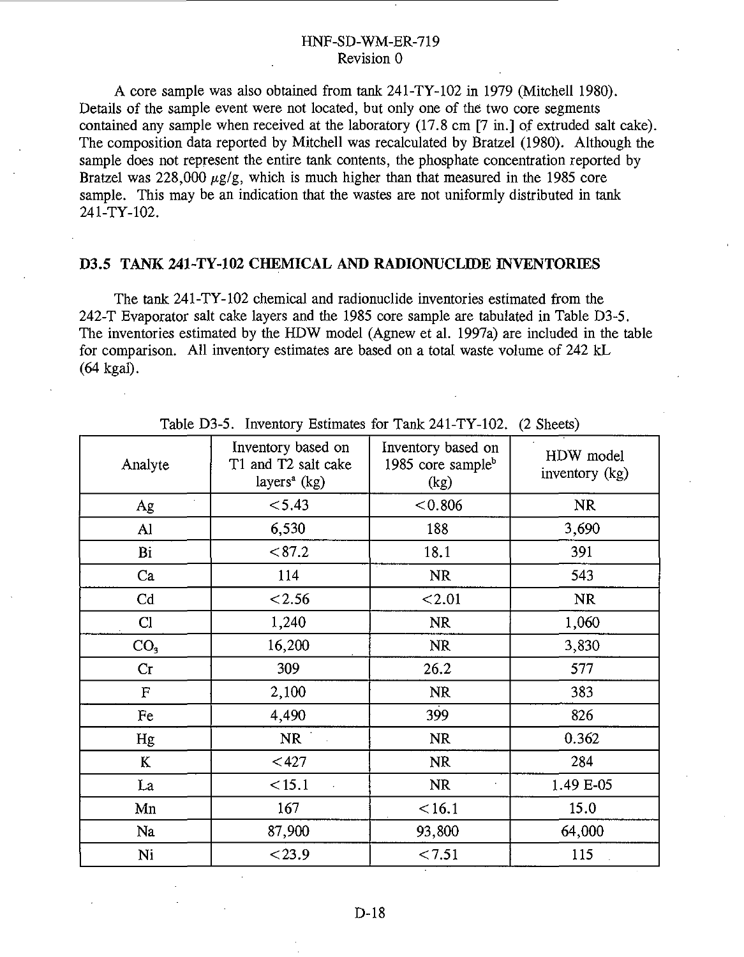A core sample was also obtained from tank 241-TY-102 in 1979 (Mitchell 1980). Details of the sample event were not located, but only one of the two core segments contained any sample when received at the laboratory (17.8 cm [7 in.] of extruded salt cake). The composition data reported by Mitchell was recalculated by Bratzel (1980). Although the sample does not represent the entire tank contents, the phosphate concentration reported by Bratzel was  $228,000 \mu$ g/g, which is much higher than that measured in the 1985 core sample. This may be an indication that the wastes are not uniformly distributed in tank 241-TY-102.

## **D3.5 TANK 241-TY-102 CHEMICAL AND RADIONUCLIDE INVENTORIES**

The tank 241-TY-102 chemical and radionuclide inventories estimated from the 242-T Evaporator salt cake layers and the 1985 core sample are tabulated in Table D3-5. The inventories estimated by the HDW model (Agnew et al. 1997a) are included in the table for comparison. All inventory estimates are based on a total waste volume of 242 kL (64 kgal).

| Analyte         | Inventory based on<br>T1 and T2 salt cake<br>layers <sup>a</sup> (kg) | Inventory based on<br>1985 core sample <sup>b</sup><br>(kg) | HDW model<br>inventory (kg) |
|-----------------|-----------------------------------------------------------------------|-------------------------------------------------------------|-----------------------------|
| Ag              | < 5.43                                                                | < 0.806                                                     | NR.                         |
| Al              | 6,530                                                                 | 188                                                         | 3,690                       |
| Bi              | < 87.2                                                                | 18.1                                                        | 391                         |
| Ca              | 114                                                                   | NR.                                                         | 543                         |
| Cd              | < 2.56                                                                | < 2.01                                                      | NR                          |
| Cl              | 1,240                                                                 | <b>NR</b>                                                   | 1,060                       |
| CO <sub>3</sub> | 16,200                                                                | NR.                                                         | 3,830                       |
| Cr              | 309                                                                   | 26.2                                                        | 577                         |
| F               | 2,100                                                                 | NR.                                                         | 383                         |
| Fe              | 4,490                                                                 | 399                                                         | 826                         |
| Hg              | NR                                                                    | NR.                                                         | 0.362                       |
| K               | < 427                                                                 | NR                                                          | 284                         |
| La              | < 15.1                                                                | <b>NR</b>                                                   | 1.49 E-05                   |
| Mn              | 167                                                                   | < 16.1                                                      | 15.0                        |
| Na              | 87,900                                                                | 93,800                                                      | 64,000                      |
| Ni              | < 23.9                                                                | < 7.51                                                      | 115                         |
|                 |                                                                       |                                                             |                             |

Table D3-5. Inventory Estimates for Tank 241-TY-102. (2 Sheets)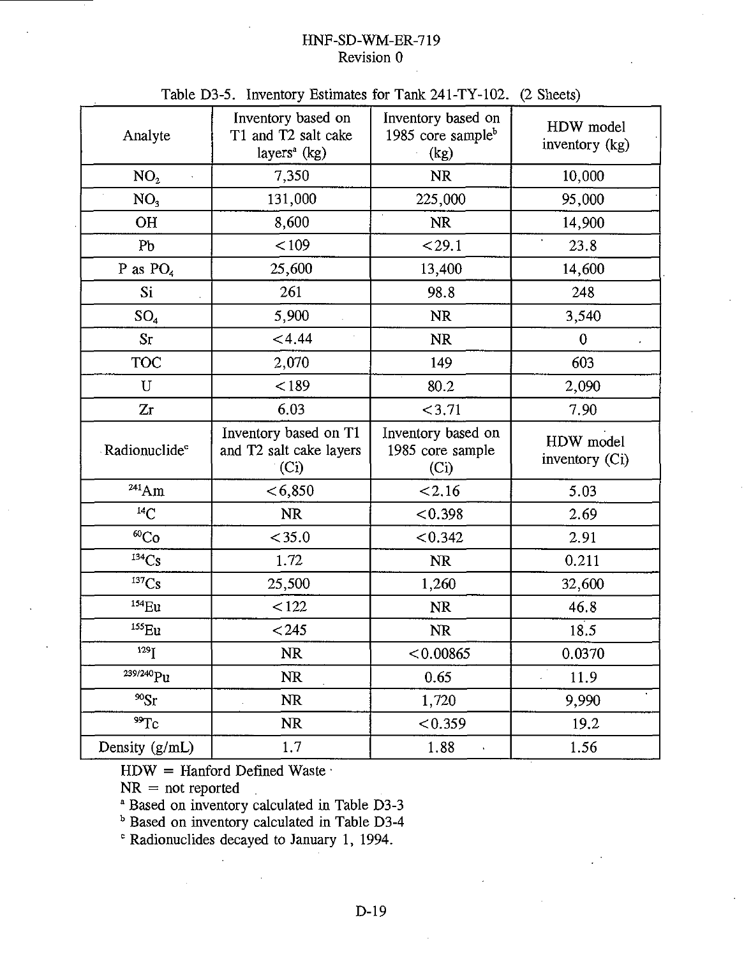| Analyte                   | Inventory based on<br>Inventory based on<br>T1 and T2 salt cake<br>1985 core sample <sup>b</sup><br>layers <sup>a</sup> (kg)<br>(kg) |                                                | HDW model<br>inventory (kg) |
|---------------------------|--------------------------------------------------------------------------------------------------------------------------------------|------------------------------------------------|-----------------------------|
| NO <sub>2</sub>           | 7,350                                                                                                                                | <b>NR</b>                                      | 10,000                      |
| NO <sub>3</sub>           | 131,000                                                                                                                              | 225,000                                        | 95,000                      |
| OH                        | 8,600                                                                                                                                | <b>NR</b>                                      | 14,900                      |
| Pb                        | < 109                                                                                                                                | < 29.1                                         | 23.8                        |
| P as $PO4$                | 25,600                                                                                                                               | 13,400                                         | 14,600                      |
| Si                        | 261                                                                                                                                  | 98.8                                           | 248                         |
| SO <sub>4</sub>           | 5,900                                                                                                                                | <b>NR</b>                                      | 3,540                       |
| Sr                        | < 4.44                                                                                                                               | <b>NR</b>                                      | 0                           |
| <b>TOC</b>                | 2,070                                                                                                                                | 149                                            | 603                         |
| U                         | < 189                                                                                                                                | 80.2                                           | 2,090                       |
| Zr                        | 6.03                                                                                                                                 | < 3.71                                         | 7.90                        |
| Radionuclide <sup>c</sup> | Inventory based on T1<br>and T2 salt cake layers<br>(Ci)                                                                             | Inventory based on<br>1985 core sample<br>(Ci) | HDW model<br>inventory (Ci) |
| $^{241}\mathrm{Am}$       | < 6,850                                                                                                                              | < 2.16                                         | 5.03                        |
| $^{14}$ C                 | <b>NR</b>                                                                                                                            | < 0.398                                        | 2.69                        |
| <sup>60</sup> Co          | < 35.0                                                                                                                               | < 0.342                                        | 2.91                        |
| 134Cs                     | 1.72                                                                                                                                 | <b>NR</b>                                      | 0.211                       |
| $^{137}\mathrm{Cs}$       | 25,500                                                                                                                               | 1,260                                          | 32,600                      |
| $^{154}\mathrm{Eu}$       | < 122                                                                                                                                | <b>NR</b>                                      | 46.8                        |
| $155$ Eu                  | < 245                                                                                                                                | <b>NR</b>                                      | 18.5                        |
| 129 <sub>l</sub>          | <b>NR</b>                                                                                                                            | < 0.00865                                      | 0.0370                      |
| 239/240 Pu                | <b>NR</b>                                                                                                                            | 0.65                                           | 11.9                        |
| $^{90}Sr$                 | <b>NR</b>                                                                                                                            | 1,720                                          | 9,990                       |
| $^{99}$ Tc                | NR                                                                                                                                   | < 0.359                                        | 19.2                        |
| Density (g/mL)            | 1.7                                                                                                                                  | 1.88                                           | 1.56                        |

Table D3-5. Inventory Estimates for Tank 241-TY-102. (2 Sheets)

 $HDW =$  Hanford Defined Waste

NR = not reported

\* Based on inventory calculated in Table D3-3 b Based on inventory calculated in Table D3-4

c Radionuclides decayed to January 1, 1994.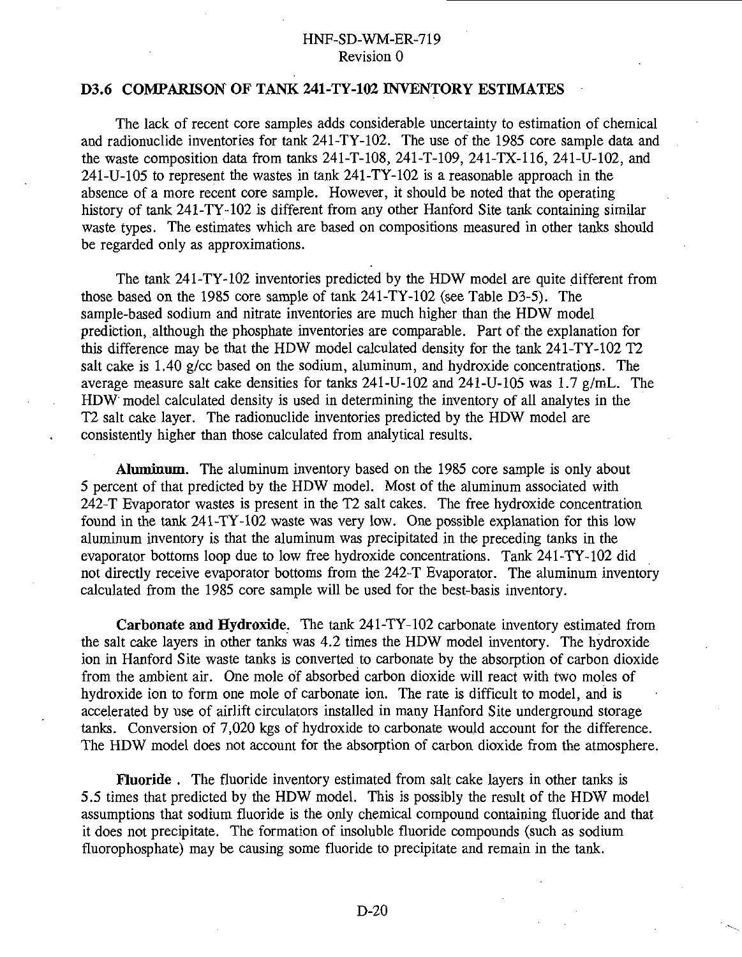## **D3.6 COMPARISON OF TANK 241-TY-102 INVENTORY ESTIMATES**

The lack of recent core samples adds considerable uncertainty to estimation of chemical and radionuclide inventories for tank 241-TY-102. The use of the 1985 core sample data and the waste composition data from tanks  $241 - T - 108$ ,  $241 - T - 109$ ,  $241 - TX - 116$ ,  $241 - U - 102$ , and 241-U-105 to represent the wastes in tank 241-TY-102 is a reasonable approach in the absence of a more recent core sample. However, it should be noted that the operating history of tank 241-TY-102 is different from any other Hanford Site tank containing similar waste types. The estimates which are based on compositions measured in other tanks should be regarded only as approximations.

The tank 241-TY-102 inventories predicted by the HDW model are quite different from those based on the 1985 core sample of tank 241-TY-102 (see Table D3-5). The sample-based sodium and nitrate inventories are much higher than the HDW model prediction, although the phosphate inventories are comparable. Part of the explanation for this difference may be that the HDW model calculated density for the tank 241-TY-102 T2 salt cake is 1.40 g/cc based on the sodium, aluminum, and hydroxide concentrations. The average measure salt cake densities for tanks  $241-U-102$  and  $241-U-105$  was 1.7 g/mL. The HDW model calculated density is used in determining the inventory of all analytes in the T2 salt cake layer. The radionuclide inventories predicted by the HDW model are consistently higher than those calculated from analytical results.

**Aluminum.** The aluminum inventory based on the 1985 core sample is only about 5 percent of that predicted by the HDW model. Most of the aluminum associated with 242-T Evaporator wastes is present in the T2 salt cakes. The free hydroxide concentration found in the tank 241-TY-102 waste was very low. One possible explanation for this low aluminum inventory is that the aluminum was precipitated in the preceding tanks in the evaporator bottoms loop due to low free hydroxide concentrations. Tank 241-TY-102 did not directly receive evaporator bottoms from the 242-T Evaporator. The aluminum inventory calculated from the 1985 core sample will be used for the best-basis inventory.

**Carbonate and Hydroxide.** The tank 241-TY-102 carbonate inventory estimated from the salt cake layers in other tanks was 4.2 times the HDW model inventory. The hydroxide ion in Hanford Site waste tanks is converted to carbonate by the absorption of carbon dioxide from the ambient air. One mole of absorbed carbon dioxide will react with two moles of hydroxide ion to form one mole of carbonate ion. The rate is difficult to model, and is accelerated by use of airlift circulators installed in many Hanford Site underground storage tanks. Conversion of 7,020 kgs of hydroxide to carbonate would account for the difference. The HDW model does not account for the absorption of carbon dioxide from the atmosphere.

**Fluoride** . The fluoride inventory estimated from salt cake layers in other tanks is 5.5 times that predicted by the HDW model. This is possibly the result of the HDW model assumptions that sodium fluoride is the only chemical compound containing fluoride and that it does not precipitate. The formation of insoluble fluoride compounds (such as sodium fluorophosphate) may be causing some fluoride to precipitate and remain in the tank.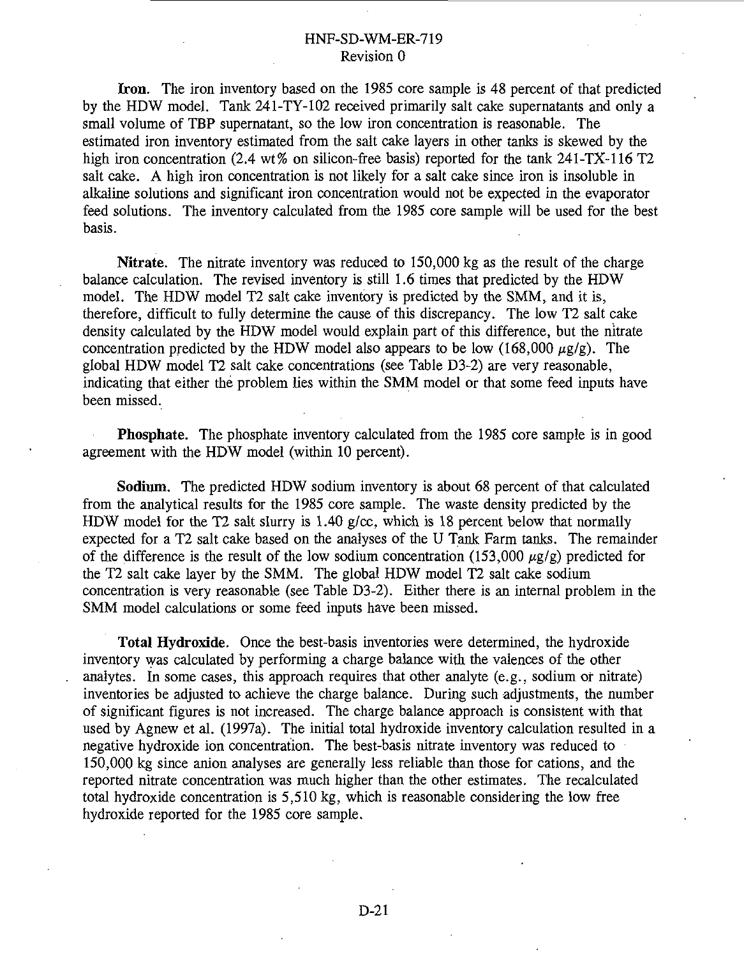**Iron.** The iron inventory based on the 1985 core sample is 48 percent of that predicted by the HDW model. Tank 241-TY-102 received primarily salt cake supernatants and only a small volume of TBP supernatant, so the low iron concentration is reasonable. The estimated iron inventory estimated from the salt cake layers in other tanks is skewed by the high iron concentration (2.4 wt% on silicon-free basis) reported for the tank 241-TX-116 T2 salt cake. A high iron concentration is not likely for a salt cake since iron is insoluble in alkaline solutions and significant iron concentration would not be expected in the evaporator feed solutions. The inventory calculated from the 1985 core sample will be used for the best basis.

**Nitrate.** The nitrate inventory was reduced to 150,000 kg as the result of the charge balance calculation. The revised inventory is still 1.6 times that predicted by the HDW model. The HDW model T2 salt cake inventory is predicted by the SMM, and it is, therefore, difficult to fully determine the cause of this discrepancy. The low T2 salt cake density calculated by the HDW model would explain part of this difference, but the nitrate concentration predicted by the HDW model also appears to be low (168,000  $\mu$ g/g). The global HDW model T2 salt cake concentrations (see Table D3-2) are very reasonable, indicating that either the problem lies within the SMM model or that some feed inputs have been missed.

**Phosphate.** The phosphate inventory calculated from the 1985 core sample is in good agreement with the HDW model (within 10 percent).

**Sodium.** The predicted HDW sodium inventory is about 68 percent of that calculated from the analytical results for the 1985 core sample. The waste density predicted by the HDW model for the T2 salt slurry is 1.40 g/cc, which is 18 percent below that normally expected for a T2 salt cake based on the analyses of the U Tank Farm tanks. The remainder of the difference is the result of the low sodium concentration (153,000  $\mu$ g/g) predicted for the T2 salt cake layer by the SMM. The global HDW model T2 salt cake sodium concentration is very reasonable (see Table D3-2). Either there is an internal problem in the SMM model calculations or some feed inputs have been missed.

**Total Hydroxide.** Once the best-basis inventories were determined, the hydroxide inventory was calculated by performing a charge balance with the valences of the other analytes. In some cases, this approach requires that other analyte (e.g., sodium or nitrate) inventories be adjusted to achieve the charge balance. During such adjustments, the number of significant figures is not increased. The charge balance approach is consistent with that used by Agnew et al. (1997a). The initial total hydroxide inventory calculation resulted in a negative hydroxide ion concentration. The best-basis nitrate inventory was reduced to 150,000 kg since anion analyses are generally less reliable than those for cations, and the reported nitrate concentration was much higher than the other estimates. The recalculated total hydroxide concentration is 5,510 kg, which is reasonable considering the low free hydroxide reported for the 1985 core sample.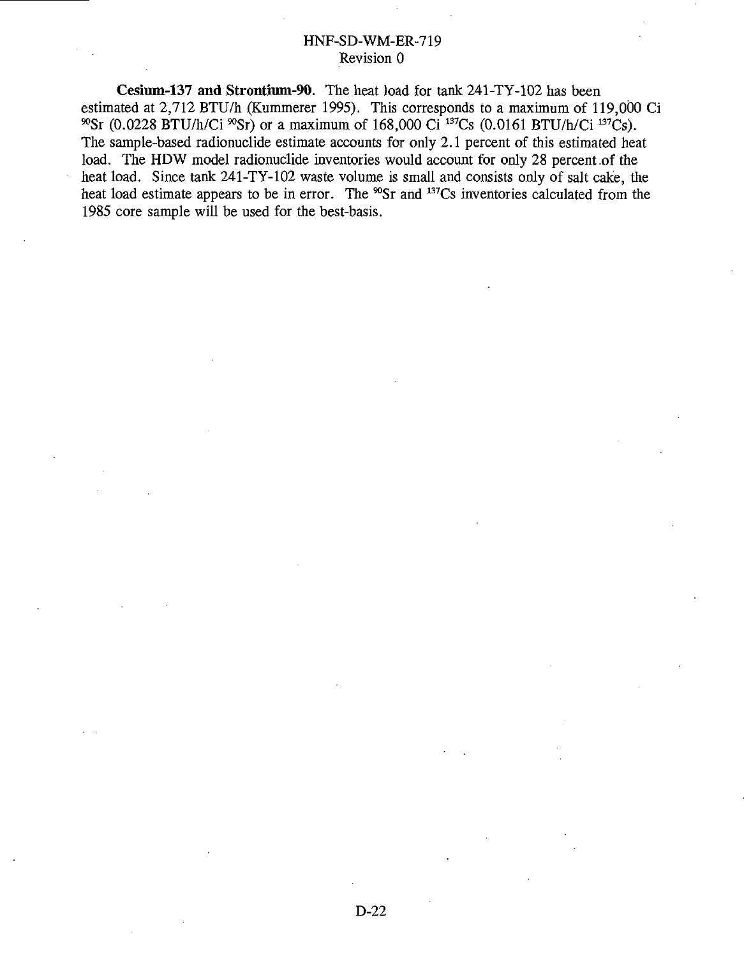**Cesium-137 and Strontium-90.** The heat load for tank 241-TY-102 has been estimated at 2,712 BTU/h (Kummerer 1995). This corresponds to a maximum of 119,000 Ci <sup>90</sup>Sr (0.0228 BTU/h/Ci <sup>90</sup>Sr) or a maximum of 168,000 Ci <sup>137</sup>Cs (0.0161 BTU/h/Ci <sup>137</sup>Cs). The sample-based radionuclide estimate accounts for only 2.1 percent of this estimated heat load. The HDW model radionuclide inventories would account for only 28 percent of the heat load. Since tank 241-TY-102 waste volume is small and consists only of salt cake, the heat load estimate appears to be in error. The <sup>90</sup>Sr and <sup>137</sup>Cs inventories calculated from the 1985 core sample will be used for the best-basis.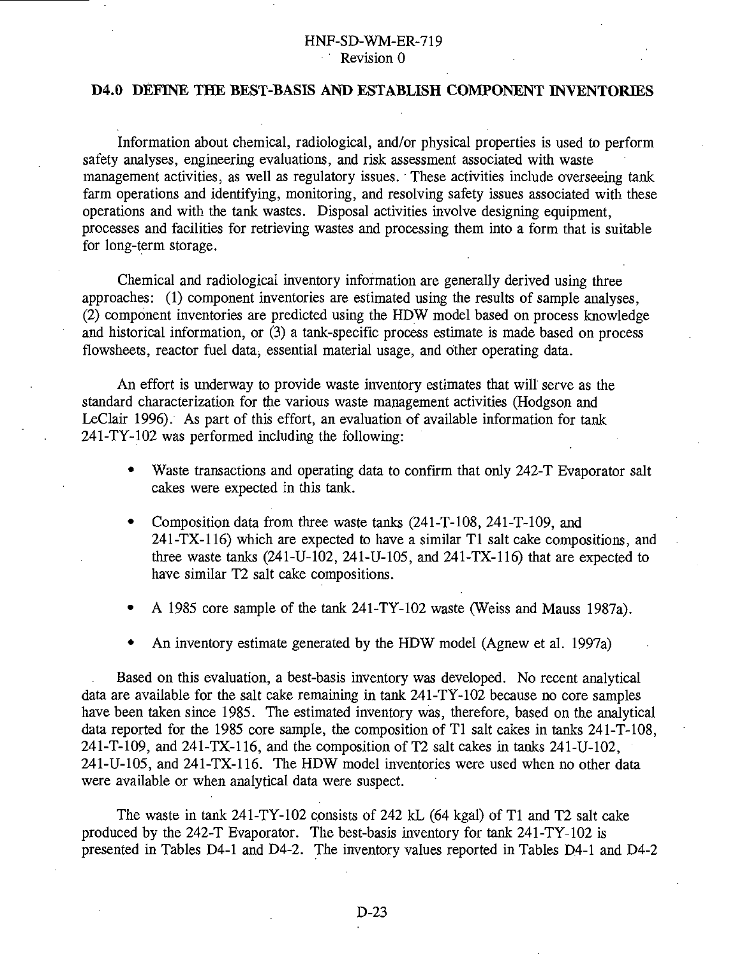## **D4.0 DEFINE THE BEST-BASIS AND ESTABLISH COMPONENT INVENTORIES**

Information about chemical, radiological, and/or physical properties is used to perform safety analyses, engineering evaluations, and risk assessment associated with waste management activities, as well as regulatory issues. • These activities include overseeing tank farm operations and identifying, monitoring, and resolving safety issues associated with these operations and with the tank wastes. Disposal activities involve designing equipment, processes and facilities for retrieving wastes and processing them into a form that is suitable for long-term storage.

Chemical and radiological inventory information are generally derived using three approaches: (1) component inventories are estimated using the results of sample analyses, (2) component inventories are predicted using the HDW model based on process knowledge and historical information, or (3) a tank-specific process estimate is made based on process flowsheets, reactor fuel data, essential material usage, and other operating data.

An effort is underway to provide waste inventory estimates that will serve as the standard characterization for the various waste management activities (Hodgson and LeClair 1996). As part of this effort, an evaluation of available information for tank 241-TY-102 was performed including the following:

- Waste transactions and operating data to confirm that only 242-T Evaporator salt cakes were expected in this tank.
- Composition data from three waste tanks (241-T-108, 241-T-109, and 241-TX-116) which are expected to have a similar Tl salt cake compositions, and three waste tanks (241-U-102, 241-U-105, and 241-TX-116) that are expected to have similar T2 salt cake compositions.
- A 1985 core sample of the tank 241-TY-102 waste (Weiss and Mauss 1987a).
- An inventory estimate generated by the HDW model (Agnew et al. 1997a)

Based on this evaluation, a best-basis inventory was developed. No recent analytical data are available for the salt cake remaining in tank 241-TY-102 because no core samples have been taken since 1985. The estimated inventory was, therefore, based on the analytical data reported for the 1985 core sample, the composition of Tl salt cakes in tanks 241-T-108, 241-T-109, and 241-TX-116, and the composition of T2 salt cakes in tanks 241-U-102, 241-U-105, and 241-TX-116. The HDW model inventories were used when no other data were available or when analytical data were suspect.

The waste in tank 241-TY-102 consists of 242 kL (64 kgal) of Tl and T2 salt cake produced by the 242-T Evaporator. The best-basis inventory for tank 241-TY-102 is presented hi Tables D4-1 and D4-2. The inventory values reported in Tables D4-1 and D4-2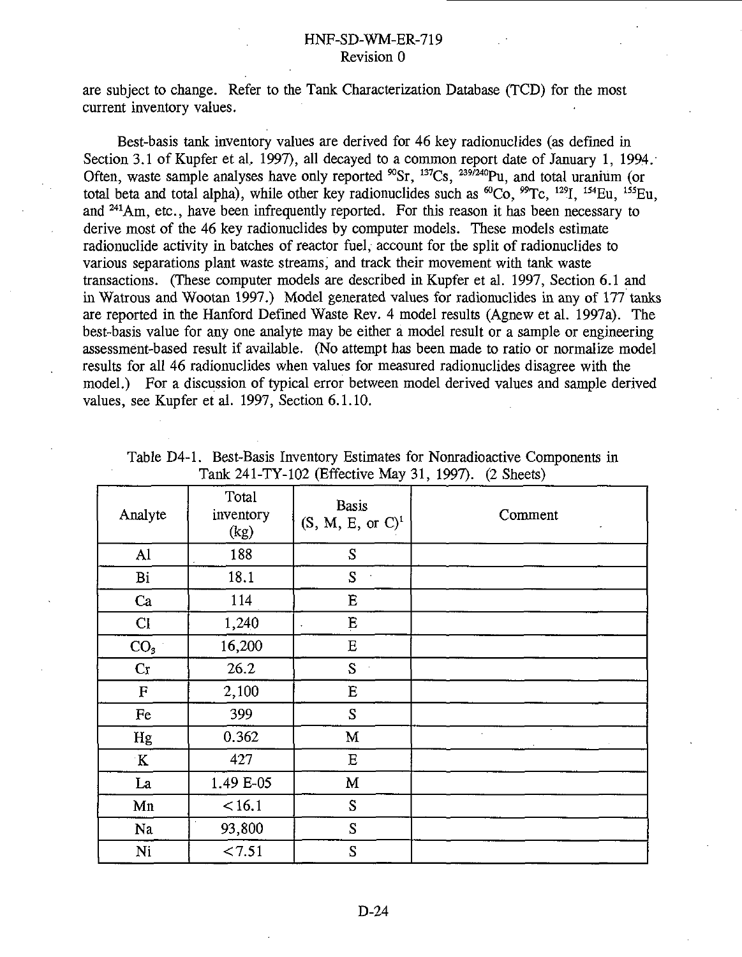are subject to change. Refer to the Tank Characterization Database (TCD) for the most current inventory values.

Best-basis tank inventory values are derived for 46 key radionuclides (as defined in Section 3.1 of Kupfer et al, 1997), all decayed to a common report date of January 1, 1994. Often, waste sample analyses have only reported  ${}^{90}Sr$ ,  ${}^{137}Cs$ ,  ${}^{2397240}Pu$ , and total uranium (or total beta and total alpha), while other key radionuclides such as  ${}^{60}Co$ ,  ${}^{99}Te$ ,  ${}^{129}I$ ,  ${}^{154}Eu$ ,  ${}^{155}Eu$ and  $^{241}$ Am, etc., have been infrequently reported. For this reason it has been necessary to derive most of the 46 key radionuclides by computer models. These models estimate radionuclide activity in batches of reactor fuel, account for the split of radionuclides to various separations plant waste streams, and track their movement with tank waste transactions. (These computer models are described in Kupfer et al. 1997, Section 6.1 and in Watrous and Wootan 1997.) Model generated values for radionuclides in any of 177 tanks are reported in the Hanford Defined Waste Rev. 4 model results (Agnew et al. 1997a). The best-basis value for any one analyte may be either a model result or a sample or engineering assessment-based result if available. (No attempt has been made to ratio or normalize model results for all 46 radionuclides when values for measured radionuclides disagree with the model.) For a discussion of typical error between model derived values and sample derived values, see Kupfer et al. 1997, Section 6.1.10.

| Analyte         | Total<br>inventory<br>(kg) | <b>Basis</b><br>$(S, M, E, or C)^1$ | Comment      |
|-----------------|----------------------------|-------------------------------------|--------------|
| AI              | 188                        | S                                   |              |
| Bi              | 18.1                       | S<br>$\cdot$                        |              |
| Ca              | 114                        | E                                   |              |
| <b>CI</b>       | 1,240                      | Е<br>٠                              |              |
| CO <sub>3</sub> | 16,200                     | E                                   |              |
| Cr              | 26.2                       | $\mathbf S$                         |              |
| $\mathbf{F}$    | 2,100                      | Е                                   |              |
| Fe              | 399                        | S                                   |              |
| Hg              | 0.362                      | M                                   | $\mathbf{r}$ |
| $\bf K$         | 427                        | Е                                   |              |
| La              | 1.49 E-05                  | M                                   |              |
| Mn              | < 16.1                     | S                                   |              |
| Na              | 93,800                     | S                                   |              |
| Ni              | < 7.51                     | S                                   |              |
|                 |                            |                                     |              |

Table D4-1. Best-Basis Inventory Estimates for Nonradioactive Components in Tank 241-TY-102 (Effective May 31, 1997). (2 Sheets)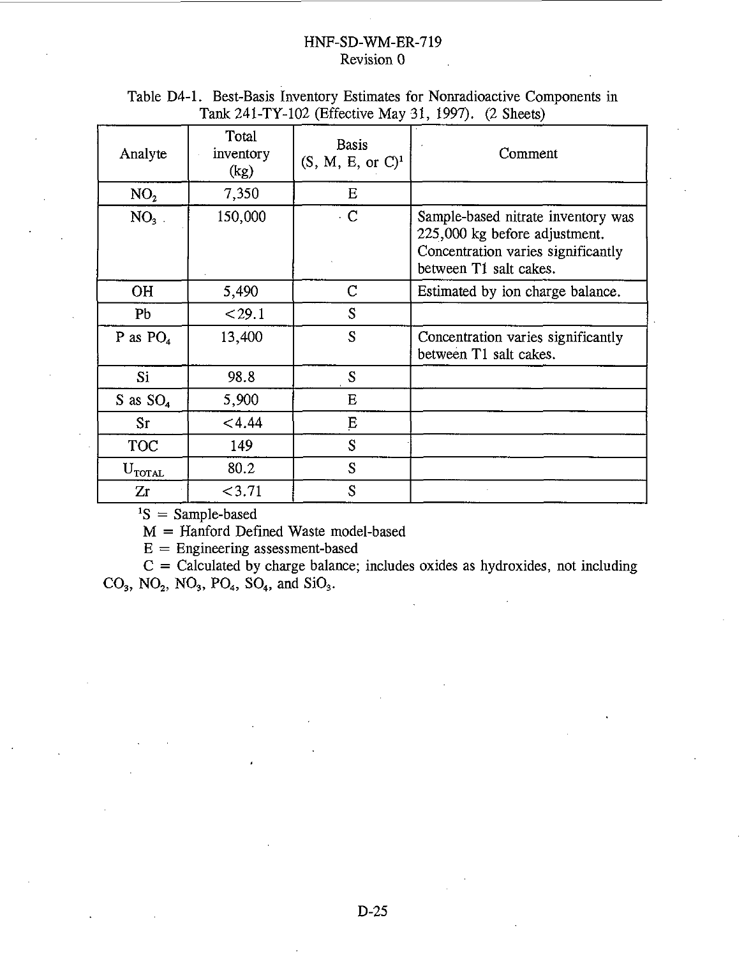| Analyte              | Total<br>inventory<br>(kg) | <b>Basis</b><br>$(S, M, E, or C)^1$ | Comment                                                                                                                             |
|----------------------|----------------------------|-------------------------------------|-------------------------------------------------------------------------------------------------------------------------------------|
| NO <sub>2</sub>      | 7,350                      | Е                                   |                                                                                                                                     |
| $NO3$ .              | 150,000                    | ۰C                                  | Sample-based nitrate inventory was<br>225,000 kg before adjustment.<br>Concentration varies significantly<br>between T1 salt cakes. |
| OН                   | 5,490                      | C                                   | Estimated by ion charge balance.                                                                                                    |
| Pb                   | < 29.1                     | S                                   |                                                                                                                                     |
| P as $PO4$           | 13,400                     | S                                   | Concentration varies significantly<br>between T1 salt cakes.                                                                        |
| Si                   | 98.8                       | S                                   |                                                                                                                                     |
| $S$ as $SO4$         | 5,900                      | Е                                   |                                                                                                                                     |
| Sr                   | $<$ 4.44                   | Е                                   |                                                                                                                                     |
| <b>TOC</b>           | 149                        | S                                   |                                                                                                                                     |
| $U_{\texttt{total}}$ | 80.2                       | S                                   |                                                                                                                                     |
| Zr                   | < 3.71                     | S                                   |                                                                                                                                     |

Table D4-1. Best-Basis Inventory Estimates for Nonradioactive Components in Tank 241-TY-102 (Effective May 31, 1997). (2 Sheets)

 $S =$ Sample-based

 $M =$  Hanford Defined Waste model-based

 $E =$  Engineering assessment-based

 $C =$  Calculated by charge balance; includes oxides as hydroxides, not including  $CO<sub>3</sub>$ , NO<sub>2</sub>, NO<sub>3</sub>, PO<sub>4</sub>, SO<sub>4</sub>, and SiO<sub>3</sub>.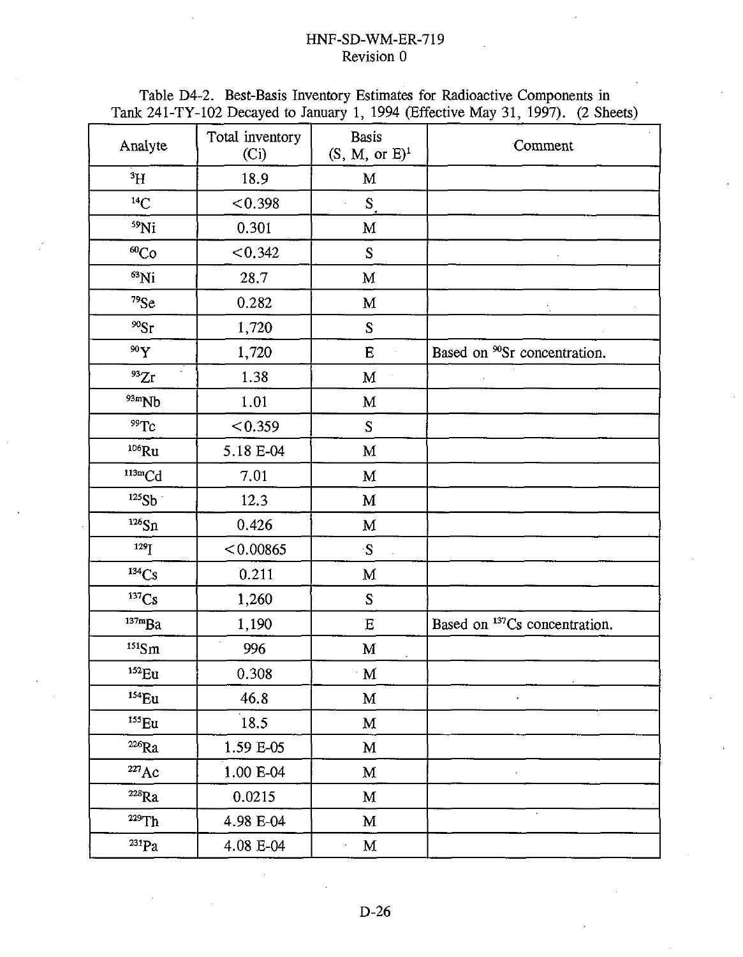| Analyte             | Total inventory<br>(Ci) | <b>Basis</b><br>$(S, M, or E)^1$ | Comment                                   |
|---------------------|-------------------------|----------------------------------|-------------------------------------------|
| $\rm ^3H$           | 18.9                    | M                                |                                           |
| ${}^{14}C$          | < 0.398                 | S.                               |                                           |
| $^{59}\rm{Ni}$      | 0.301                   | M                                |                                           |
| ${}^{60}Co$         | < 0.342                 | S                                |                                           |
| $^{63}$ Ni          | 28.7                    | ${\bf M}$                        |                                           |
| 79Se                | 0.282                   | M                                |                                           |
| $^{90}$ Sr          | 1,720                   | S                                |                                           |
| 90Y                 | 1,720                   | E                                | Based on <sup>90</sup> Sr concentration.  |
| $^{93}\mathrm{Zr}$  | 1.38                    | M                                |                                           |
| $^{93m}\mathrm{Nb}$ | 1.01                    | M                                |                                           |
| 99Tc                | < 0.359                 | S                                |                                           |
| $106$ Ru            | 5.18 E-04               | M                                |                                           |
| $113 \text{mCd}$    | 7.01                    | M                                |                                           |
| 125Sb               | 12.3                    | M                                |                                           |
| $126$ Sn            | 0.426                   | M                                |                                           |
| 1297                | < 0.00865               | $\cdot \mathbf{S}$               |                                           |
| $134$ Cs            | 0.211                   | M                                |                                           |
| $137$ Cs            | 1,260                   | S                                |                                           |
| 137mBa              | 1,190                   | E                                | Based on <sup>137</sup> Cs concentration. |
| $151$ Sm            | 996                     | M                                |                                           |
| $152 \text{Eu}$     | 0.308                   | M                                |                                           |
| $154$ Eu            | 46.8                    | M                                |                                           |
| $^{155}\mathrm{Eu}$ | 18.5                    | M                                |                                           |
| $^{226}\mathrm{Ra}$ | 1.59 E-05               | M                                |                                           |
| $227$ Ac            | 1.00 E-04               | M                                |                                           |
| $228$ Ra            | 0.0215                  | M                                |                                           |
| $229$ Th            | 4.98 E-04               | M                                | 7                                         |
| $^{231}Pa$          | 4.08 E-04               | M                                |                                           |

Table D4-2. Best-Basis Inventory Estimates for Radioactive Components in Tank 241-TY-102 Decayed to January 1, 1994 (Effective May 31, 1997). (2 Sheets)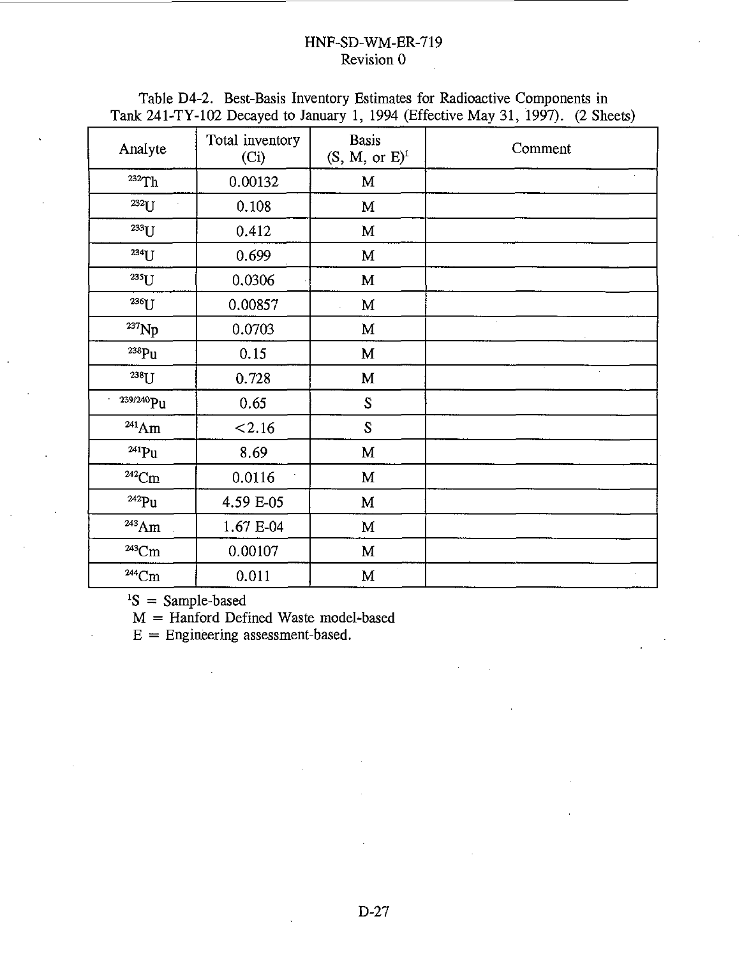|                     |                         |                                  | $\frac{1}{2}$ and $\frac{1}{2}$ is the set of $\frac{1}{2}$ is $\frac{1}{2}$ if $\frac{1}{2}$ is $\frac{1}{2}$ is $\frac{1}{2}$ if $\frac{1}{2}$ is $\frac{1}{2}$ if $\frac{1}{2}$ is $\frac{1}{2}$ if $\frac{1}{2}$ if $\frac{1}{2}$ is $\frac{1}{2}$ if $\frac{1}{2}$ if $\frac{1}{2}$ if |
|---------------------|-------------------------|----------------------------------|---------------------------------------------------------------------------------------------------------------------------------------------------------------------------------------------------------------------------------------------------------------------------------------------|
| Analyte             | Total inventory<br>(Ci) | <b>Basis</b><br>$(S, M, or E)^1$ | Comment                                                                                                                                                                                                                                                                                     |
| $232$ Th            | 0.00132                 | M                                |                                                                                                                                                                                                                                                                                             |
| $232$ U             | 0.108                   | M                                |                                                                                                                                                                                                                                                                                             |
| $233$ []            | 0.412                   | M                                |                                                                                                                                                                                                                                                                                             |
| $234$ U             | 0.699                   | M                                |                                                                                                                                                                                                                                                                                             |
| $235$ U             | 0.0306                  | M                                |                                                                                                                                                                                                                                                                                             |
| 236 <sub>LJ</sub>   | 0.00857                 | M                                |                                                                                                                                                                                                                                                                                             |
| 237Np               | 0.0703                  | M                                | ÷                                                                                                                                                                                                                                                                                           |
| 238Pu               | 0.15                    | M                                |                                                                                                                                                                                                                                                                                             |
| 238 <sub>L</sub> I  | 0.728                   | M                                | ×                                                                                                                                                                                                                                                                                           |
| 239/240Pu           | 0.65                    | S                                |                                                                                                                                                                                                                                                                                             |
| $^{241}\mathrm{Am}$ | 2.16                    | S                                |                                                                                                                                                                                                                                                                                             |
| $^{241}Pu$          | 8.69                    | M                                |                                                                                                                                                                                                                                                                                             |
| $\rm ^{242}Cm$      | 0.0116                  | M                                |                                                                                                                                                                                                                                                                                             |
| $^{242}\mathrm{Pu}$ | 4.59 E-05               | М                                |                                                                                                                                                                                                                                                                                             |
| $^{243}Am$ .        | 1.67 E-04               | M                                |                                                                                                                                                                                                                                                                                             |
| $\rm ^{243}Cm$      | 0.00107                 | M                                |                                                                                                                                                                                                                                                                                             |
| $^{244}\mathrm{Cm}$ | 0.011                   | M                                |                                                                                                                                                                                                                                                                                             |

Table D4-2. Best-Basis Inventory Estimates for Radioactive Components in Tank 241-TY-102 Decayed to January 1, 1994 (Effective May 31, 1997). (2 Sheets)

 ${}^{1}S$  = Sample-based

 $M =$  Hanford Defined Waste model-based

 $E =$  Engineering assessment-based.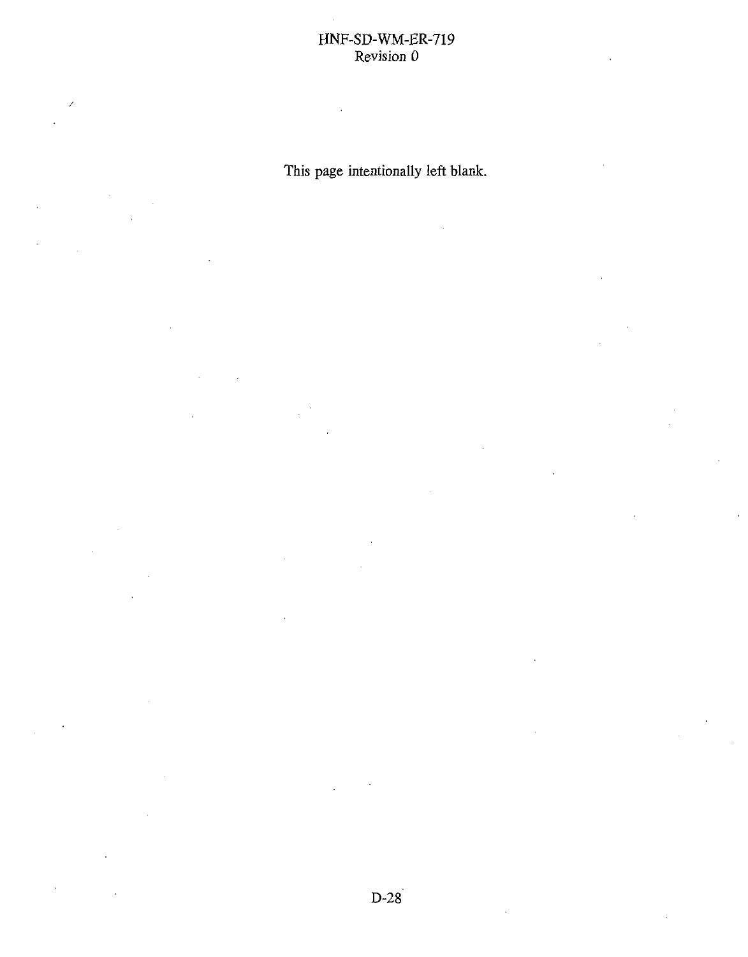This page intentionally left blank.

 $\bar{z}$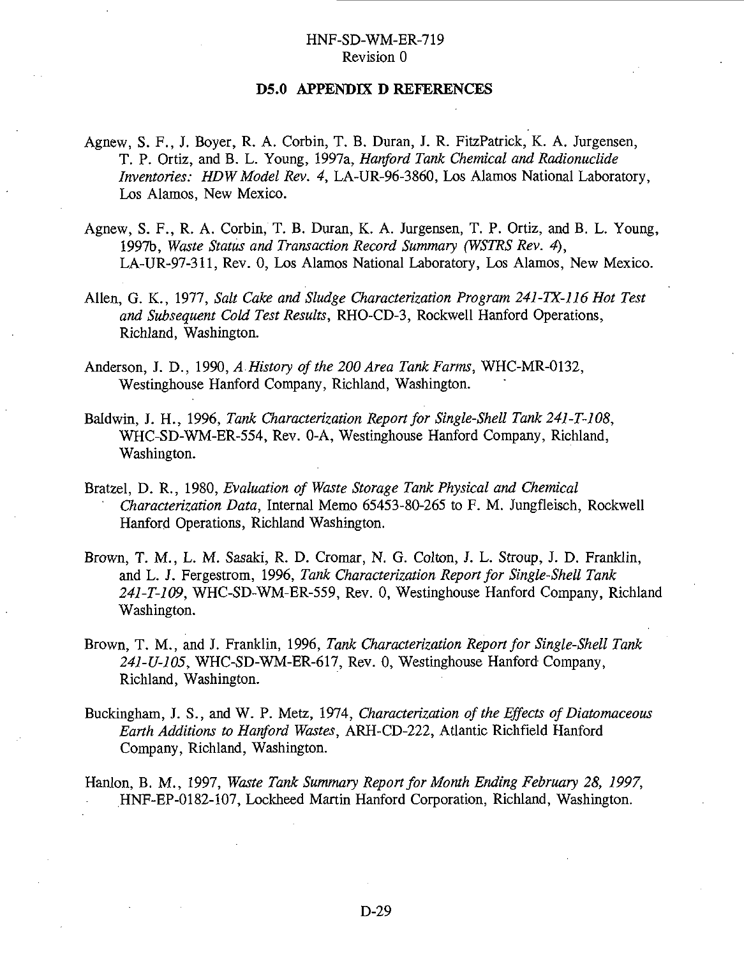## **D5.0 APPENDIX D REFERENCES**

- Agnew, S. F., J. Boyer, R. A. Corbin, T. B. Duran, J. R. FitzPatrick, K. A. Jurgensen, T. P. Ortiz, and B. L. Young, 1997a, *Hanford Tank Chemical and Radionuclide Inventories: HDW Model Rev. 4,* LA-UR-96-3860, Los Alamos National Laboratory, Los Alamos, New Mexico.
- Agnew, S. F., R. A. Corbin, T. B. Duran, K. A. Jurgensen, T. P. Ortiz, and B. L. Young, 1997b, *Waste Status and Transaction Record Summary (WSTRS Rev. 4),* LA-UR-97-311, Rev. 0, Los Alamos National Laboratory, Los Alamos, New Mexico.
- Allen, G. K., 1977, *Salt Cake and Sludge Characterization Program 241-TX-116 Hot Test and Subsequent Cold Test Results,* RHO-CD-3, Rockwell Hanford Operations, Richland, Washington.
- Anderson, J. D., 1990, *A History of the 200 Area Tank Farms,* WHC-MR-0132, Westinghouse Hanford Company, Richland, Washington.
- Baldwin, J. H., 1996, *Tank Characterization Report for Single-Shell Tank 241-T-108,* WHC-SD-WM-ER-554, Rev. 0-A, Westinghouse Hanford Company, Richland, Washington.
- Bratzel, D. R., 1980, *Evaluation of Waste Storage Tank Physical and Chemical Characterization Data,* Internal Memo 65453-80-265 to F. M. Jungfleisch, Rockwell Hanford Operations, Richland Washington.
- Brown, T. M., L. M. Sasaki, R. D. Cromar, N. G. Colton, J. L. Stroup, J. D. Franklin, and L. J. Fergestrom, 1996, *Tank Characterization Report for Single-Shell Tank 241-T-109,* WHC-SD-WM-ER-559, Rev. 0, Westinghouse Hanford Company, Richland Washington.
- Brown, T. M., and J. Franklin, 1996, *Tank Characterization Report for Single-Shell Tank 241-U-105,* WHC-SD-WM-ER-617, Rev. 0, Westinghouse Hanford Company, Richland, Washington.
- Buckingham, J. S., and W. P. Metz, 1974, *Characterization of the Effects of Diatomaceous Earth Additions to Hanford Wastes,* ARH-CD-222, Atlantic Richfield Hanford Company, Richland, Washington.
- Hanlon, B. M., 1997, *Waste Tank Summary Report for Month Ending February 28, 1997,* HNF-EP-0182-107, Lockheed Martin Hanford Corporation, Richland, Washington.